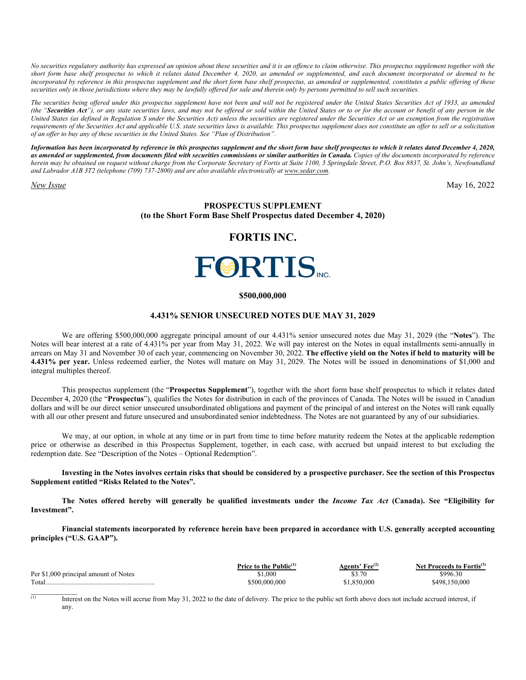*No securities regulatory authority has expressed an opinion about these securities and it is an offence to claim otherwise. This prospectus supplement together with the short form base shelf prospectus to which it relates dated December 4, 2020, as amended or supplemented, and each document incorporated or deemed to be*  incorporated by reference in this prospectus supplement and the short form base shelf prospectus, as amended or supplemented, constitutes a public offering of these *securities only in those jurisdictions where they may be lawfully offered for sale and therein only by persons permitted to sell such securities.* 

*The securities being offered under this prospectus supplement have not been and will not be registered under the United States Securities Act of 1933, as amended (the "Securities Act"), or any state securities laws, and may not be offered or sold within the United States or to or for the account or benefit of any person in the United States (as defined in Regulation S under the Securities Act) unless the securities are registered under the Securities Act or an exemption from the registration requirements of the Securities Act and applicable U.S. state securities laws is available. This prospectus supplement does not constitute an offer to sell or a solicitation of an offer to buy any of these securities in the United States. See "Plan of Distribution".* 

*Information has been incorporated by reference in this prospectus supplement and the short form base shelf prospectus to which it relates dated December 4, 2020, as amended or supplemented, from documents filed with securities commissions or similar authorities in Canada. Copies of the documents incorporated by reference herein may be obtained on request without charge from the Corporate Secretary of Fortis at Suite 1100, 5 Springdale Street, P.O. Box 8837, St. John's, Newfoundland and Labrador A1B 3T2 (telephone (709) 737-2800) and are also available electronically at www.sedar.com.*

*New Issue* May 16, 2022

## **PROSPECTUS SUPPLEMENT (to the Short Form Base Shelf Prospectus dated December 4, 2020)**

# **FORTIS INC.**



#### **\$500,000,000**

## **4.431% SENIOR UNSECURED NOTES DUE MAY 31, 2029**

We are offering \$500,000,000 aggregate principal amount of our 4.431% senior unsecured notes due May 31, 2029 (the "**Notes**"). The Notes will bear interest at a rate of 4.431% per year from May 31, 2022. We will pay interest on the Notes in equal installments semi-annually in arrears on May 31 and November 30 of each year, commencing on November 30, 2022. **The effective yield on the Notes if held to maturity will be 4.431% per year.** Unless redeemed earlier, the Notes will mature on May 31, 2029. The Notes will be issued in denominations of \$1,000 and integral multiples thereof.

This prospectus supplement (the "**Prospectus Supplement**"), together with the short form base shelf prospectus to which it relates dated December 4, 2020 (the "**Prospectus**"), qualifies the Notes for distribution in each of the provinces of Canada. The Notes will be issued in Canadian dollars and will be our direct senior unsecured unsubordinated obligations and payment of the principal of and interest on the Notes will rank equally with all our other present and future unsecured and unsubordinated senior indebtedness. The Notes are not guaranteed by any of our subsidiaries.

We may, at our option, in whole at any time or in part from time to time before maturity redeem the Notes at the applicable redemption price or otherwise as described in this Prospectus Supplement, together, in each case, with accrued but unpaid interest to but excluding the redemption date. See "Description of the Notes – Optional Redemption".

**Investing in the Notes involves certain risks that should be considered by a prospective purchaser. See the section of this Prospectus Supplement entitled "Risks Related to the Notes".** 

**The Notes offered hereby will generally be qualified investments under the** *Income Tax Act* **(Canada). See "Eligibility for Investment".** 

**Financial statements incorporated by reference herein have been prepared in accordance with U.S. generally accepted accounting principles ("U.S. GAAP").** 

|                                       | Price to the Public $(1)$ | $\prime$ Fee $^{(2)}$<br>Agents' | Net Proceeds to Fortis <sup>(3)</sup> |
|---------------------------------------|---------------------------|----------------------------------|---------------------------------------|
| Per \$1,000 principal amount of Notes | 1.000                     | ሶን ማሰ<br>99.IU                   | \$996.30                              |
| Total                                 | 500.000.000               | .850.000                         | \$498.150.000                         |

 $\overline{1}$  Interest on the Notes will accrue from May 31, 2022 to the date of delivery. The price to the public set forth above does not include accrued interest, if any.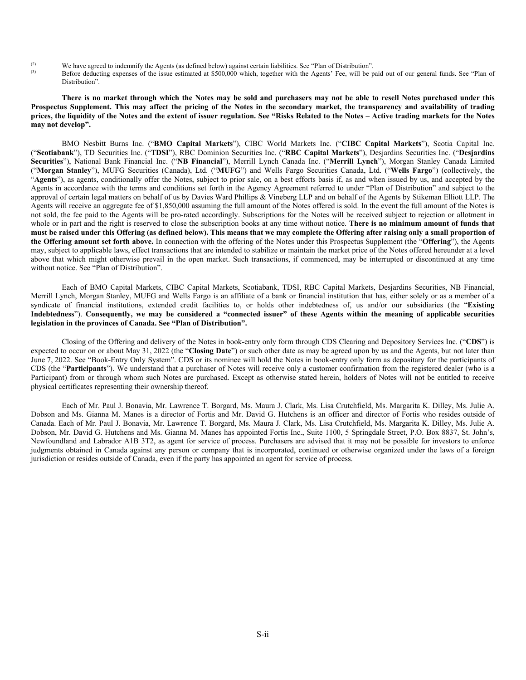- (2) We have agreed to indemnify the Agents (as defined below) against certain liabilities. See "Plan of Distribution".
- Before deducting expenses of the issue estimated at \$500,000 which, together with the Agents' Fee, will be paid out of our general funds. See "Plan of Distribution".

**There is no market through which the Notes may be sold and purchasers may not be able to resell Notes purchased under this Prospectus Supplement. This may affect the pricing of the Notes in the secondary market, the transparency and availability of trading prices, the liquidity of the Notes and the extent of issuer regulation. See "Risks Related to the Notes – Active trading markets for the Notes may not develop".** 

BMO Nesbitt Burns Inc. ("**BMO Capital Markets**"), CIBC World Markets Inc. ("**CIBC Capital Markets**"), Scotia Capital Inc. ("**Scotiabank**"), TD Securities Inc. ("**TDSI**"), RBC Dominion Securities Inc. ("**RBC Capital Markets**"), Desjardins Securities Inc. ("**Desjardins Securities**"), National Bank Financial Inc. ("**NB Financial**"), Merrill Lynch Canada Inc. ("**Merrill Lynch**"), Morgan Stanley Canada Limited ("**Morgan Stanley**"), MUFG Securities (Canada), Ltd. ("**MUFG**") and Wells Fargo Securities Canada, Ltd. ("**Wells Fargo**") (collectively, the "**Agents**"), as agents, conditionally offer the Notes, subject to prior sale, on a best efforts basis if, as and when issued by us, and accepted by the Agents in accordance with the terms and conditions set forth in the Agency Agreement referred to under "Plan of Distribution" and subject to the approval of certain legal matters on behalf of us by Davies Ward Phillips & Vineberg LLP and on behalf of the Agents by Stikeman Elliott LLP. The Agents will receive an aggregate fee of \$1,850,000 assuming the full amount of the Notes offered is sold. In the event the full amount of the Notes is not sold, the fee paid to the Agents will be pro-rated accordingly. Subscriptions for the Notes will be received subject to rejection or allotment in whole or in part and the right is reserved to close the subscription books at any time without notice. **There is no minimum amount of funds that must be raised under this Offering (as defined below). This means that we may complete the Offering after raising only a small proportion of the Offering amount set forth above.** In connection with the offering of the Notes under this Prospectus Supplement (the "**Offering**"), the Agents may, subject to applicable laws, effect transactions that are intended to stabilize or maintain the market price of the Notes offered hereunder at a level above that which might otherwise prevail in the open market. Such transactions, if commenced, may be interrupted or discontinued at any time without notice. See "Plan of Distribution".

Each of BMO Capital Markets, CIBC Capital Markets, Scotiabank, TDSI, RBC Capital Markets, Desjardins Securities, NB Financial, Merrill Lynch, Morgan Stanley, MUFG and Wells Fargo is an affiliate of a bank or financial institution that has, either solely or as a member of a syndicate of financial institutions, extended credit facilities to, or holds other indebtedness of, us and/or our subsidiaries (the "**Existing Indebtedness**"). **Consequently, we may be considered a "connected issuer" of these Agents within the meaning of applicable securities legislation in the provinces of Canada. See "Plan of Distribution".**

Closing of the Offering and delivery of the Notes in book-entry only form through CDS Clearing and Depository Services Inc. ("**CDS**") is expected to occur on or about May 31, 2022 (the "**Closing Date**") or such other date as may be agreed upon by us and the Agents, but not later than June 7, 2022. See "Book-Entry Only System". CDS or its nominee will hold the Notes in book-entry only form as depositary for the participants of CDS (the "**Participants**"). We understand that a purchaser of Notes will receive only a customer confirmation from the registered dealer (who is a Participant) from or through whom such Notes are purchased. Except as otherwise stated herein, holders of Notes will not be entitled to receive physical certificates representing their ownership thereof.

Each of Mr. Paul J. Bonavia, Mr. Lawrence T. Borgard, Ms. Maura J. Clark, Ms. Lisa Crutchfield, Ms. Margarita K. Dilley, Ms. Julie A. Dobson and Ms. Gianna M. Manes is a director of Fortis and Mr. David G. Hutchens is an officer and director of Fortis who resides outside of Canada. Each of Mr. Paul J. Bonavia, Mr. Lawrence T. Borgard, Ms. Maura J. Clark, Ms. Lisa Crutchfield, Ms. Margarita K. Dilley, Ms. Julie A. Dobson, Mr. David G. Hutchens and Ms. Gianna M. Manes has appointed Fortis Inc., Suite 1100, 5 Springdale Street, P.O. Box 8837, St. John's, Newfoundland and Labrador A1B 3T2, as agent for service of process. Purchasers are advised that it may not be possible for investors to enforce judgments obtained in Canada against any person or company that is incorporated, continued or otherwise organized under the laws of a foreign jurisdiction or resides outside of Canada, even if the party has appointed an agent for service of process.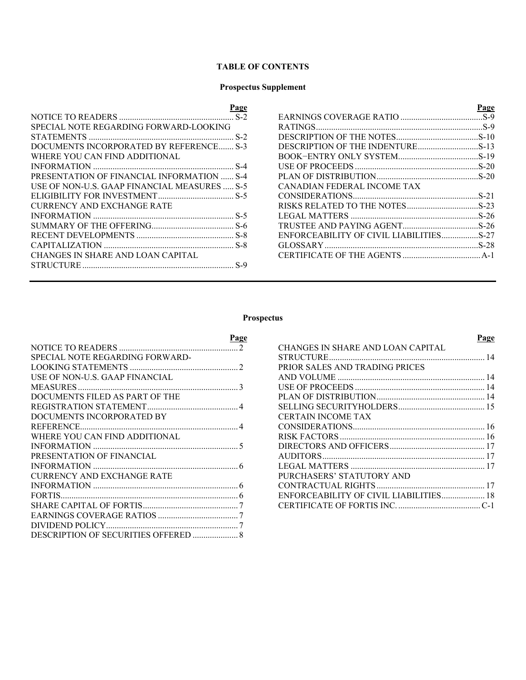# **TABLE OF CONTENTS**

# **Prospectus Supplement**

| <u>Page</u>                                  |                                         | <u>Page</u> |
|----------------------------------------------|-----------------------------------------|-------------|
|                                              |                                         |             |
| SPECIAL NOTE REGARDING FORWARD-LOOKING       |                                         |             |
|                                              |                                         |             |
| DOCUMENTS INCORPORATED BY REFERENCE S-3      | DESCRIPTION OF THE INDENTURES-13        |             |
| WHERE YOU CAN FIND ADDITIONAL                |                                         |             |
|                                              |                                         |             |
| PRESENTATION OF FINANCIAL INFORMATION  S-4   |                                         |             |
| USE OF NON-U.S. GAAP FINANCIAL MEASURES  S-5 | CANADIAN FEDERAL INCOME TAX             |             |
|                                              |                                         |             |
| <b>CURRENCY AND EXCHANGE RATE</b>            |                                         |             |
|                                              |                                         |             |
|                                              |                                         |             |
|                                              | ENFORCEABILITY OF CIVIL LIABILITIESS-27 |             |
|                                              |                                         |             |
| CHANGES IN SHARE AND LOAN CAPITAL            |                                         |             |
|                                              |                                         |             |

# **Prospectus**

| <b>Page</b>                       | Page                              |
|-----------------------------------|-----------------------------------|
|                                   | CHANGES IN SHARE AND LOAN CAPITAL |
| SPECIAL NOTE REGARDING FORWARD-   |                                   |
|                                   | PRIOR SALES AND TRADING PRICES    |
| USE OF NON-U.S. GAAP FINANCIAL    |                                   |
|                                   |                                   |
| DOCUMENTS FILED AS PART OF THE    |                                   |
|                                   |                                   |
| DOCUMENTS INCORPORATED BY         | CERTAIN INCOME TAX                |
|                                   |                                   |
| WHERE YOU CAN FIND ADDITIONAL     |                                   |
|                                   |                                   |
| PRESENTATION OF FINANCIAL         |                                   |
|                                   |                                   |
| <b>CURRENCY AND EXCHANGE RATE</b> | PURCHASERS' STATUTORY AND         |
|                                   |                                   |
|                                   |                                   |
|                                   |                                   |
|                                   |                                   |
|                                   |                                   |

DESCRIPTION OF SECURITIES OFFERED ..................... 8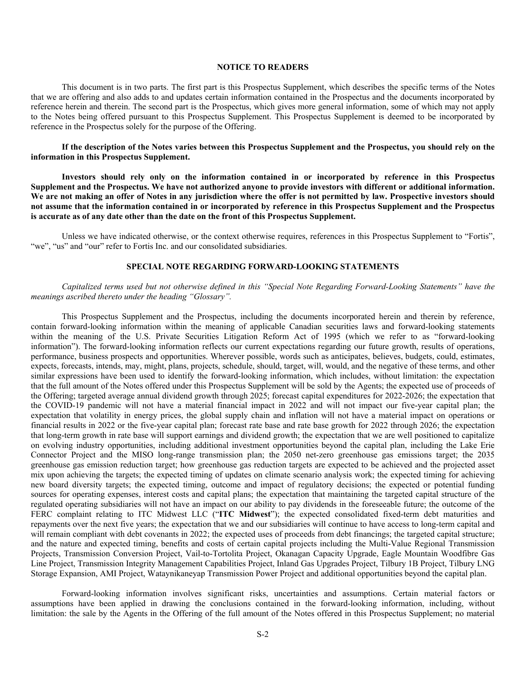## **NOTICE TO READERS**

This document is in two parts. The first part is this Prospectus Supplement, which describes the specific terms of the Notes that we are offering and also adds to and updates certain information contained in the Prospectus and the documents incorporated by reference herein and therein. The second part is the Prospectus, which gives more general information, some of which may not apply to the Notes being offered pursuant to this Prospectus Supplement. This Prospectus Supplement is deemed to be incorporated by reference in the Prospectus solely for the purpose of the Offering.

**If the description of the Notes varies between this Prospectus Supplement and the Prospectus, you should rely on the information in this Prospectus Supplement.** 

**Investors should rely only on the information contained in or incorporated by reference in this Prospectus Supplement and the Prospectus. We have not authorized anyone to provide investors with different or additional information. We are not making an offer of Notes in any jurisdiction where the offer is not permitted by law. Prospective investors should not assume that the information contained in or incorporated by reference in this Prospectus Supplement and the Prospectus is accurate as of any date other than the date on the front of this Prospectus Supplement.** 

Unless we have indicated otherwise, or the context otherwise requires, references in this Prospectus Supplement to "Fortis", "we", "us" and "our" refer to Fortis Inc. and our consolidated subsidiaries.

## **SPECIAL NOTE REGARDING FORWARD-LOOKING STATEMENTS**

## *Capitalized terms used but not otherwise defined in this "Special Note Regarding Forward-Looking Statements" have the meanings ascribed thereto under the heading "Glossary".*

This Prospectus Supplement and the Prospectus, including the documents incorporated herein and therein by reference, contain forward-looking information within the meaning of applicable Canadian securities laws and forward-looking statements within the meaning of the U.S. Private Securities Litigation Reform Act of 1995 (which we refer to as "forward-looking information"). The forward-looking information reflects our current expectations regarding our future growth, results of operations, performance, business prospects and opportunities. Wherever possible, words such as anticipates, believes, budgets, could, estimates, expects, forecasts, intends, may, might, plans, projects, schedule, should, target, will, would, and the negative of these terms, and other similar expressions have been used to identify the forward-looking information, which includes, without limitation: the expectation that the full amount of the Notes offered under this Prospectus Supplement will be sold by the Agents; the expected use of proceeds of the Offering; targeted average annual dividend growth through 2025; forecast capital expenditures for 2022-2026; the expectation that the COVID-19 pandemic will not have a material financial impact in 2022 and will not impact our five-year capital plan; the expectation that volatility in energy prices, the global supply chain and inflation will not have a material impact on operations or financial results in 2022 or the five-year capital plan; forecast rate base and rate base growth for 2022 through 2026; the expectation that long-term growth in rate base will support earnings and dividend growth; the expectation that we are well positioned to capitalize on evolving industry opportunities, including additional investment opportunities beyond the capital plan, including the Lake Erie Connector Project and the MISO long-range transmission plan; the 2050 net-zero greenhouse gas emissions target; the 2035 greenhouse gas emission reduction target; how greenhouse gas reduction targets are expected to be achieved and the projected asset mix upon achieving the targets; the expected timing of updates on climate scenario analysis work; the expected timing for achieving new board diversity targets; the expected timing, outcome and impact of regulatory decisions; the expected or potential funding sources for operating expenses, interest costs and capital plans; the expectation that maintaining the targeted capital structure of the regulated operating subsidiaries will not have an impact on our ability to pay dividends in the foreseeable future; the outcome of the FERC complaint relating to ITC Midwest LLC ("**ITC Midwest**"); the expected consolidated fixed-term debt maturities and repayments over the next five years; the expectation that we and our subsidiaries will continue to have access to long-term capital and will remain compliant with debt covenants in 2022; the expected uses of proceeds from debt financings; the targeted capital structure; and the nature and expected timing, benefits and costs of certain capital projects including the Multi-Value Regional Transmission Projects, Transmission Conversion Project, Vail-to-Tortolita Project, Okanagan Capacity Upgrade, Eagle Mountain Woodfibre Gas Line Project, Transmission Integrity Management Capabilities Project, Inland Gas Upgrades Project, Tilbury 1B Project, Tilbury LNG Storage Expansion, AMI Project, Wataynikaneyap Transmission Power Project and additional opportunities beyond the capital plan.

Forward-looking information involves significant risks, uncertainties and assumptions. Certain material factors or assumptions have been applied in drawing the conclusions contained in the forward-looking information, including, without limitation: the sale by the Agents in the Offering of the full amount of the Notes offered in this Prospectus Supplement; no material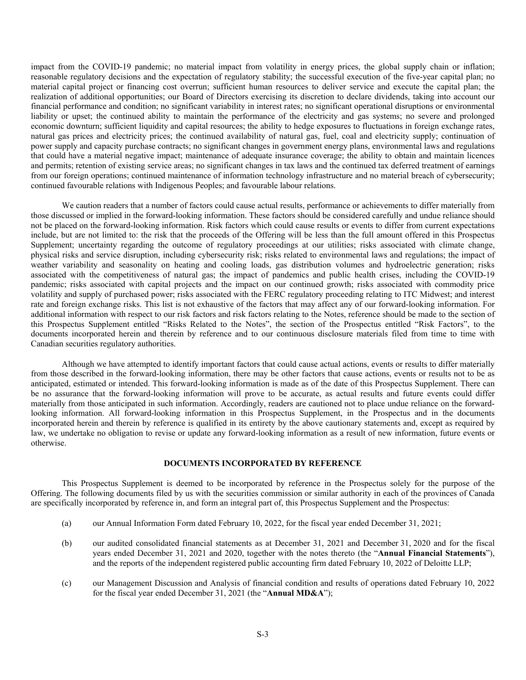impact from the COVID-19 pandemic; no material impact from volatility in energy prices, the global supply chain or inflation; reasonable regulatory decisions and the expectation of regulatory stability; the successful execution of the five-year capital plan; no material capital project or financing cost overrun; sufficient human resources to deliver service and execute the capital plan; the realization of additional opportunities; our Board of Directors exercising its discretion to declare dividends, taking into account our financial performance and condition; no significant variability in interest rates; no significant operational disruptions or environmental liability or upset; the continued ability to maintain the performance of the electricity and gas systems; no severe and prolonged economic downturn; sufficient liquidity and capital resources; the ability to hedge exposures to fluctuations in foreign exchange rates, natural gas prices and electricity prices; the continued availability of natural gas, fuel, coal and electricity supply; continuation of power supply and capacity purchase contracts; no significant changes in government energy plans, environmental laws and regulations that could have a material negative impact; maintenance of adequate insurance coverage; the ability to obtain and maintain licences and permits; retention of existing service areas; no significant changes in tax laws and the continued tax deferred treatment of earnings from our foreign operations; continued maintenance of information technology infrastructure and no material breach of cybersecurity; continued favourable relations with Indigenous Peoples; and favourable labour relations.

We caution readers that a number of factors could cause actual results, performance or achievements to differ materially from those discussed or implied in the forward-looking information. These factors should be considered carefully and undue reliance should not be placed on the forward-looking information. Risk factors which could cause results or events to differ from current expectations include, but are not limited to: the risk that the proceeds of the Offering will be less than the full amount offered in this Prospectus Supplement; uncertainty regarding the outcome of regulatory proceedings at our utilities; risks associated with climate change, physical risks and service disruption, including cybersecurity risk; risks related to environmental laws and regulations; the impact of weather variability and seasonality on heating and cooling loads, gas distribution volumes and hydroelectric generation; risks associated with the competitiveness of natural gas; the impact of pandemics and public health crises, including the COVID-19 pandemic; risks associated with capital projects and the impact on our continued growth; risks associated with commodity price volatility and supply of purchased power; risks associated with the FERC regulatory proceeding relating to ITC Midwest; and interest rate and foreign exchange risks. This list is not exhaustive of the factors that may affect any of our forward-looking information. For additional information with respect to our risk factors and risk factors relating to the Notes, reference should be made to the section of this Prospectus Supplement entitled "Risks Related to the Notes", the section of the Prospectus entitled "Risk Factors", to the documents incorporated herein and therein by reference and to our continuous disclosure materials filed from time to time with Canadian securities regulatory authorities.

Although we have attempted to identify important factors that could cause actual actions, events or results to differ materially from those described in the forward-looking information, there may be other factors that cause actions, events or results not to be as anticipated, estimated or intended. This forward-looking information is made as of the date of this Prospectus Supplement. There can be no assurance that the forward-looking information will prove to be accurate, as actual results and future events could differ materially from those anticipated in such information. Accordingly, readers are cautioned not to place undue reliance on the forwardlooking information. All forward-looking information in this Prospectus Supplement, in the Prospectus and in the documents incorporated herein and therein by reference is qualified in its entirety by the above cautionary statements and, except as required by law, we undertake no obligation to revise or update any forward-looking information as a result of new information, future events or otherwise.

# **DOCUMENTS INCORPORATED BY REFERENCE**

This Prospectus Supplement is deemed to be incorporated by reference in the Prospectus solely for the purpose of the Offering. The following documents filed by us with the securities commission or similar authority in each of the provinces of Canada are specifically incorporated by reference in, and form an integral part of, this Prospectus Supplement and the Prospectus:

- (a) our Annual Information Form dated February 10, 2022, for the fiscal year ended December 31, 2021;
- (b) our audited consolidated financial statements as at December 31, 2021 and December 31, 2020 and for the fiscal years ended December 31, 2021 and 2020, together with the notes thereto (the "**Annual Financial Statements**"), and the reports of the independent registered public accounting firm dated February 10, 2022 of Deloitte LLP;
- (c) our Management Discussion and Analysis of financial condition and results of operations dated February 10, 2022 for the fiscal year ended December 31, 2021 (the "**Annual MD&A**");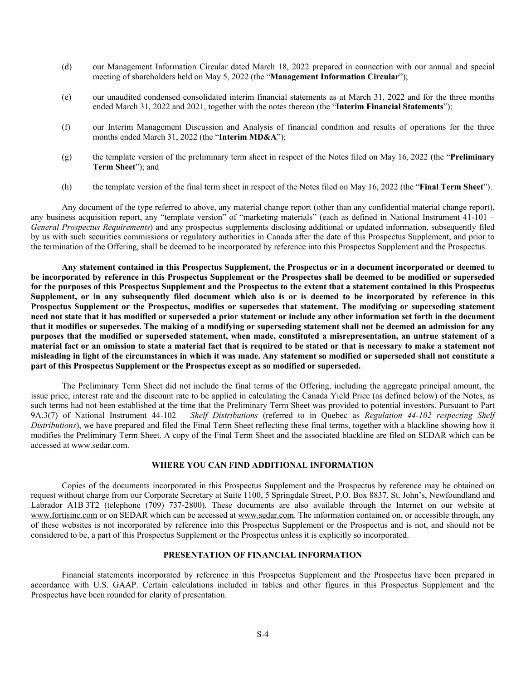- (d) our Management Information Circular dated March 18, 2022 prepared in connection with our annual and special meeting of shareholders held on May 5, 2022 (the "**Management Information Circular**");
- (e) our unaudited condensed consolidated interim financial statements as at March 31, 2022 and for the three months ended March 31, 2022 and 2021, together with the notes thereon (the "**Interim Financial Statements**");
- (f) our Interim Management Discussion and Analysis of financial condition and results of operations for the three months ended March 31, 2022 (the "**Interim MD&A**");
- (g) the template version of the preliminary term sheet in respect of the Notes filed on May 16, 2022 (the "**Preliminary Term Sheet**"); and
- (h) the template version of the final term sheet in respect of the Notes filed on May 16, 2022 (the "**Final Term Sheet**").

Any document of the type referred to above, any material change report (other than any confidential material change report), any business acquisition report, any "template version" of "marketing materials" (each as defined in National Instrument 41-101 – *General Prospectus Requirements*) and any prospectus supplements disclosing additional or updated information, subsequently filed by us with such securities commissions or regulatory authorities in Canada after the date of this Prospectus Supplement, and prior to the termination of the Offering, shall be deemed to be incorporated by reference into this Prospectus Supplement and the Prospectus.

**Any statement contained in this Prospectus Supplement, the Prospectus or in a document incorporated or deemed to be incorporated by reference in this Prospectus Supplement or the Prospectus shall be deemed to be modified or superseded for the purposes of this Prospectus Supplement and the Prospectus to the extent that a statement contained in this Prospectus Supplement, or in any subsequently filed document which also is or is deemed to be incorporated by reference in this Prospectus Supplement or the Prospectus, modifies or supersedes that statement. The modifying or superseding statement need not state that it has modified or superseded a prior statement or include any other information set forth in the document that it modifies or supersedes. The making of a modifying or superseding statement shall not be deemed an admission for any purposes that the modified or superseded statement, when made, constituted a misrepresentation, an untrue statement of a material fact or an omission to state a material fact that is required to be stated or that is necessary to make a statement not misleading in light of the circumstances in which it was made. Any statement so modified or superseded shall not constitute a part of this Prospectus Supplement or the Prospectus except as so modified or superseded.** 

The Preliminary Term Sheet did not include the final terms of the Offering, including the aggregate principal amount, the issue price, interest rate and the discount rate to be applied in calculating the Canada Yield Price (as defined below) of the Notes, as such terms had not been established at the time that the Preliminary Term Sheet was provided to potential investors. Pursuant to Part 9A.3(7) of National Instrument 44-102 – *Shelf Distributions* (referred to in Quebec as *Regulation 44-102 respecting Shelf Distributions*), we have prepared and filed the Final Term Sheet reflecting these final terms, together with a blackline showing how it modifies the Preliminary Term Sheet. A copy of the Final Term Sheet and the associated blackline are filed on SEDAR which can be accessed at www.sedar.com.

# **WHERE YOU CAN FIND ADDITIONAL INFORMATION**

Copies of the documents incorporated in this Prospectus Supplement and the Prospectus by reference may be obtained on request without charge from our Corporate Secretary at Suite 1100, 5 Springdale Street, P.O. Box 8837, St. John's, Newfoundland and Labrador A1B 3T2 (telephone (709) 737-2800). These documents are also available through the Internet on our website at www.fortisinc.com or on SEDAR which can be accessed at www.sedar.com. The information contained on, or accessible through, any of these websites is not incorporated by reference into this Prospectus Supplement or the Prospectus and is not, and should not be considered to be, a part of this Prospectus Supplement or the Prospectus unless it is explicitly so incorporated.

## **PRESENTATION OF FINANCIAL INFORMATION**

Financial statements incorporated by reference in this Prospectus Supplement and the Prospectus have been prepared in accordance with U.S. GAAP. Certain calculations included in tables and other figures in this Prospectus Supplement and the Prospectus have been rounded for clarity of presentation.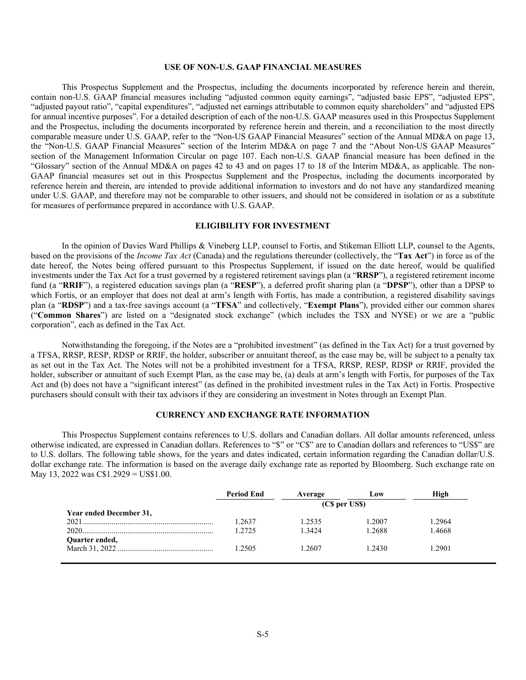## **USE OF NON-U.S. GAAP FINANCIAL MEASURES**

This Prospectus Supplement and the Prospectus, including the documents incorporated by reference herein and therein, contain non-U.S. GAAP financial measures including "adjusted common equity earnings", "adjusted basic EPS", "adjusted EPS", "adjusted payout ratio", "capital expenditures", "adjusted net earnings attributable to common equity shareholders" and "adjusted EPS for annual incentive purposes". For a detailed description of each of the non-U.S. GAAP measures used in this Prospectus Supplement and the Prospectus, including the documents incorporated by reference herein and therein, and a reconciliation to the most directly comparable measure under U.S. GAAP, refer to the "Non-US GAAP Financial Measures" section of the Annual MD&A on page 13, the "Non-U.S. GAAP Financial Measures" section of the Interim MD&A on page 7 and the "About Non-US GAAP Measures" section of the Management Information Circular on page 107. Each non-U.S. GAAP financial measure has been defined in the "Glossary" section of the Annual MD&A on pages 42 to 43 and on pages 17 to 18 of the Interim MD&A, as applicable. The non-GAAP financial measures set out in this Prospectus Supplement and the Prospectus, including the documents incorporated by reference herein and therein, are intended to provide additional information to investors and do not have any standardized meaning under U.S. GAAP, and therefore may not be comparable to other issuers, and should not be considered in isolation or as a substitute for measures of performance prepared in accordance with U.S. GAAP.

## **ELIGIBILITY FOR INVESTMENT**

In the opinion of Davies Ward Phillips & Vineberg LLP, counsel to Fortis, and Stikeman Elliott LLP, counsel to the Agents, based on the provisions of the *Income Tax Act* (Canada) and the regulations thereunder (collectively, the "**Tax Act**") in force as of the date hereof, the Notes being offered pursuant to this Prospectus Supplement, if issued on the date hereof, would be qualified investments under the Tax Act for a trust governed by a registered retirement savings plan (a "**RRSP**"), a registered retirement income fund (a "**RRIF**"), a registered education savings plan (a "**RESP**"), a deferred profit sharing plan (a "**DPSP**"), other than a DPSP to which Fortis, or an employer that does not deal at arm's length with Fortis, has made a contribution, a registered disability savings plan (a "**RDSP**") and a tax-free savings account (a "**TFSA**" and collectively, "**Exempt Plans**"), provided either our common shares ("**Common Shares**") are listed on a "designated stock exchange" (which includes the TSX and NYSE) or we are a "public corporation", each as defined in the Tax Act.

Notwithstanding the foregoing, if the Notes are a "prohibited investment" (as defined in the Tax Act) for a trust governed by a TFSA, RRSP, RESP, RDSP or RRIF, the holder, subscriber or annuitant thereof, as the case may be, will be subject to a penalty tax as set out in the Tax Act. The Notes will not be a prohibited investment for a TFSA, RRSP, RESP, RDSP or RRIF, provided the holder, subscriber or annuitant of such Exempt Plan, as the case may be, (a) deals at arm's length with Fortis, for purposes of the Tax Act and (b) does not have a "significant interest" (as defined in the prohibited investment rules in the Tax Act) in Fortis. Prospective purchasers should consult with their tax advisors if they are considering an investment in Notes through an Exempt Plan.

# **CURRENCY AND EXCHANGE RATE INFORMATION**

This Prospectus Supplement contains references to U.S. dollars and Canadian dollars. All dollar amounts referenced, unless otherwise indicated, are expressed in Canadian dollars. References to "\$" or "C\$" are to Canadian dollars and references to "US\$" are to U.S. dollars. The following table shows, for the years and dates indicated, certain information regarding the Canadian dollar/U.S. dollar exchange rate. The information is based on the average daily exchange rate as reported by Bloomberg. Such exchange rate on May 13, 2022 was C\$1.2929 = US\$1.00.

|                         | <b>Period End</b> | Average        | Low     | High   |
|-------------------------|-------------------|----------------|---------|--------|
|                         |                   | (C\$ per US\$) |         |        |
| Year ended December 31, |                   |                |         |        |
|                         | .2637             | 1.2535         | 1.2007  | .2964  |
|                         | 2725              | 1.3424         | 1.2688  | 1.4668 |
| Quarter ended,          |                   |                |         |        |
|                         | 1.2505            | .2607          | 1.2430. | .2901  |
|                         |                   |                |         |        |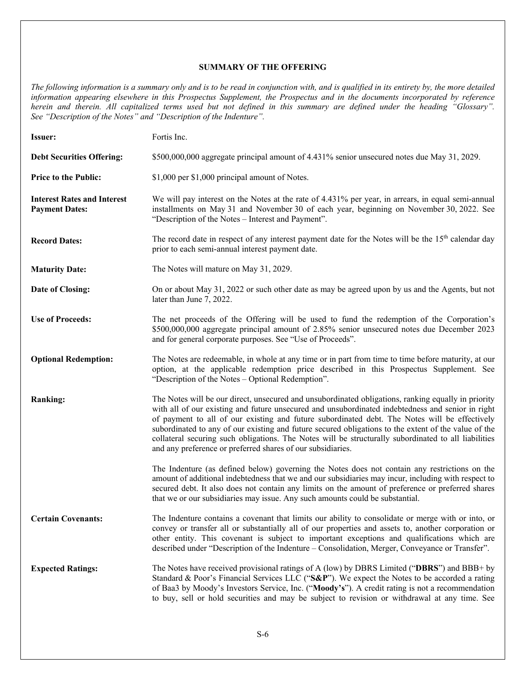# **SUMMARY OF THE OFFERING**

*The following information is a summary only and is to be read in conjunction with, and is qualified in its entirety by, the more detailed information appearing elsewhere in this Prospectus Supplement, the Prospectus and in the documents incorporated by reference herein and therein. All capitalized terms used but not defined in this summary are defined under the heading "Glossary". See "Description of the Notes" and "Description of the Indenture".* 

| <b>Issuer:</b>                                              | Fortis Inc.                                                                                                                                                                                                                                                                                                                                                                                                                                                                                                                                                                              |
|-------------------------------------------------------------|------------------------------------------------------------------------------------------------------------------------------------------------------------------------------------------------------------------------------------------------------------------------------------------------------------------------------------------------------------------------------------------------------------------------------------------------------------------------------------------------------------------------------------------------------------------------------------------|
| <b>Debt Securities Offering:</b>                            | \$500,000,000 aggregate principal amount of 4.431% senior unsecured notes due May 31, 2029.                                                                                                                                                                                                                                                                                                                                                                                                                                                                                              |
| <b>Price to the Public:</b>                                 | \$1,000 per \$1,000 principal amount of Notes.                                                                                                                                                                                                                                                                                                                                                                                                                                                                                                                                           |
| <b>Interest Rates and Interest</b><br><b>Payment Dates:</b> | We will pay interest on the Notes at the rate of 4.431% per year, in arrears, in equal semi-annual<br>installments on May 31 and November 30 of each year, beginning on November 30, 2022. See<br>"Description of the Notes - Interest and Payment".                                                                                                                                                                                                                                                                                                                                     |
| <b>Record Dates:</b>                                        | The record date in respect of any interest payment date for the Notes will be the 15 <sup>th</sup> calendar day<br>prior to each semi-annual interest payment date.                                                                                                                                                                                                                                                                                                                                                                                                                      |
| <b>Maturity Date:</b>                                       | The Notes will mature on May 31, 2029.                                                                                                                                                                                                                                                                                                                                                                                                                                                                                                                                                   |
| Date of Closing:                                            | On or about May 31, 2022 or such other date as may be agreed upon by us and the Agents, but not<br>later than June 7, 2022.                                                                                                                                                                                                                                                                                                                                                                                                                                                              |
| <b>Use of Proceeds:</b>                                     | The net proceeds of the Offering will be used to fund the redemption of the Corporation's<br>\$500,000,000 aggregate principal amount of 2.85% senior unsecured notes due December 2023<br>and for general corporate purposes. See "Use of Proceeds".                                                                                                                                                                                                                                                                                                                                    |
| <b>Optional Redemption:</b>                                 | The Notes are redeemable, in whole at any time or in part from time to time before maturity, at our<br>option, at the applicable redemption price described in this Prospectus Supplement. See<br>"Description of the Notes – Optional Redemption".                                                                                                                                                                                                                                                                                                                                      |
| <b>Ranking:</b>                                             | The Notes will be our direct, unsecured and unsubordinated obligations, ranking equally in priority<br>with all of our existing and future unsecured and unsubordinated indebtedness and senior in right<br>of payment to all of our existing and future subordinated debt. The Notes will be effectively<br>subordinated to any of our existing and future secured obligations to the extent of the value of the<br>collateral securing such obligations. The Notes will be structurally subordinated to all liabilities<br>and any preference or preferred shares of our subsidiaries. |
|                                                             | The Indenture (as defined below) governing the Notes does not contain any restrictions on the<br>amount of additional indebtedness that we and our subsidiaries may incur, including with respect to<br>secured debt. It also does not contain any limits on the amount of preference or preferred shares<br>that we or our subsidiaries may issue. Any such amounts could be substantial.                                                                                                                                                                                               |
| <b>Certain Covenants:</b>                                   | The Indenture contains a covenant that limits our ability to consolidate or merge with or into, or<br>convey or transfer all or substantially all of our properties and assets to, another corporation or<br>other entity. This covenant is subject to important exceptions and qualifications which are<br>described under "Description of the Indenture – Consolidation, Merger, Conveyance or Transfer".                                                                                                                                                                              |
| <b>Expected Ratings:</b>                                    | The Notes have received provisional ratings of A (low) by DBRS Limited ("DBRS") and BBB+ by<br>Standard & Poor's Financial Services LLC (" $S\&P$ "). We expect the Notes to be accorded a rating<br>of Baa3 by Moody's Investors Service, Inc. ("Moody's"). A credit rating is not a recommendation<br>to buy, sell or hold securities and may be subject to revision or withdrawal at any time. See                                                                                                                                                                                    |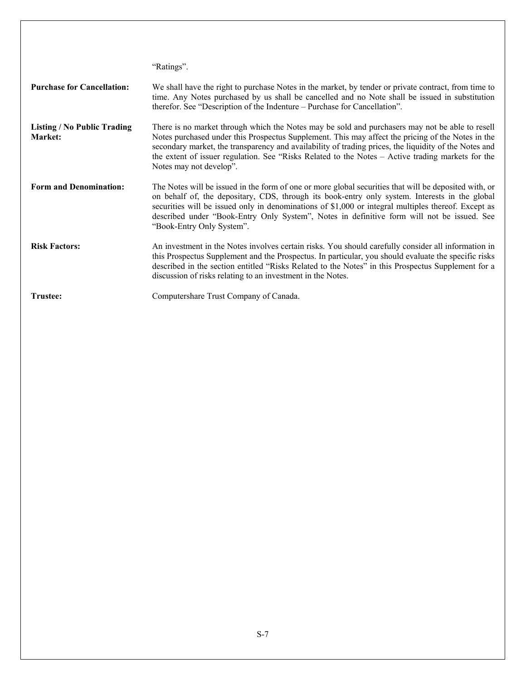|                                               | "Ratings".                                                                                                                                                                                                                                                                                                                                                                                                                                    |
|-----------------------------------------------|-----------------------------------------------------------------------------------------------------------------------------------------------------------------------------------------------------------------------------------------------------------------------------------------------------------------------------------------------------------------------------------------------------------------------------------------------|
| <b>Purchase for Cancellation:</b>             | We shall have the right to purchase Notes in the market, by tender or private contract, from time to<br>time. Any Notes purchased by us shall be cancelled and no Note shall be issued in substitution<br>therefor. See "Description of the Indenture - Purchase for Cancellation".                                                                                                                                                           |
| <b>Listing / No Public Trading</b><br>Market: | There is no market through which the Notes may be sold and purchasers may not be able to resell<br>Notes purchased under this Prospectus Supplement. This may affect the pricing of the Notes in the<br>secondary market, the transparency and availability of trading prices, the liquidity of the Notes and<br>the extent of issuer regulation. See "Risks Related to the Notes – Active trading markets for the<br>Notes may not develop". |
| <b>Form and Denomination:</b>                 | The Notes will be issued in the form of one or more global securities that will be deposited with, or<br>on behalf of, the depositary, CDS, through its book-entry only system. Interests in the global<br>securities will be issued only in denominations of \$1,000 or integral multiples thereof. Except as<br>described under "Book-Entry Only System", Notes in definitive form will not be issued. See<br>"Book-Entry Only System".     |
| <b>Risk Factors:</b>                          | An investment in the Notes involves certain risks. You should carefully consider all information in<br>this Prospectus Supplement and the Prospectus. In particular, you should evaluate the specific risks<br>described in the section entitled "Risks Related to the Notes" in this Prospectus Supplement for a<br>discussion of risks relating to an investment in the Notes.                                                              |
| Trustee:                                      | Computershare Trust Company of Canada.                                                                                                                                                                                                                                                                                                                                                                                                        |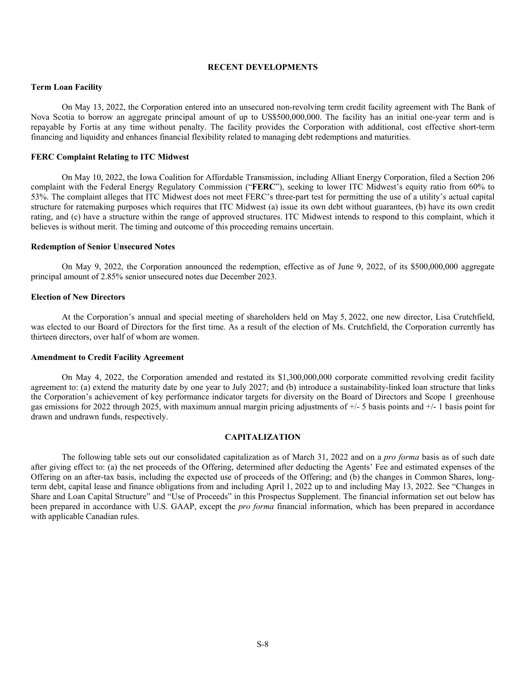## **RECENT DEVELOPMENTS**

#### **Term Loan Facility**

On May 13, 2022, the Corporation entered into an unsecured non-revolving term credit facility agreement with The Bank of Nova Scotia to borrow an aggregate principal amount of up to US\$500,000,000. The facility has an initial one-year term and is repayable by Fortis at any time without penalty. The facility provides the Corporation with additional, cost effective short-term financing and liquidity and enhances financial flexibility related to managing debt redemptions and maturities.

## **FERC Complaint Relating to ITC Midwest**

On May 10, 2022, the Iowa Coalition for Affordable Transmission, including Alliant Energy Corporation, filed a Section 206 complaint with the Federal Energy Regulatory Commission ("**FERC**"), seeking to lower ITC Midwest's equity ratio from 60% to 53%. The complaint alleges that ITC Midwest does not meet FERC's three-part test for permitting the use of a utility's actual capital structure for ratemaking purposes which requires that ITC Midwest (a) issue its own debt without guarantees, (b) have its own credit rating, and (c) have a structure within the range of approved structures. ITC Midwest intends to respond to this complaint, which it believes is without merit. The timing and outcome of this proceeding remains uncertain.

#### **Redemption of Senior Unsecured Notes**

On May 9, 2022, the Corporation announced the redemption, effective as of June 9, 2022, of its \$500,000,000 aggregate principal amount of 2.85% senior unsecured notes due December 2023.

## **Election of New Directors**

At the Corporation's annual and special meeting of shareholders held on May 5, 2022, one new director, Lisa Crutchfield, was elected to our Board of Directors for the first time. As a result of the election of Ms. Crutchfield, the Corporation currently has thirteen directors, over half of whom are women.

#### **Amendment to Credit Facility Agreement**

On May 4, 2022, the Corporation amended and restated its \$1,300,000,000 corporate committed revolving credit facility agreement to: (a) extend the maturity date by one year to July 2027; and (b) introduce a sustainability-linked loan structure that links the Corporation's achievement of key performance indicator targets for diversity on the Board of Directors and Scope 1 greenhouse gas emissions for 2022 through 2025, with maximum annual margin pricing adjustments of +/- 5 basis points and +/- 1 basis point for drawn and undrawn funds, respectively.

## **CAPITALIZATION**

The following table sets out our consolidated capitalization as of March 31, 2022 and on a *pro forma* basis as of such date after giving effect to: (a) the net proceeds of the Offering, determined after deducting the Agents' Fee and estimated expenses of the Offering on an after-tax basis, including the expected use of proceeds of the Offering; and (b) the changes in Common Shares, longterm debt, capital lease and finance obligations from and including April 1, 2022 up to and including May 13, 2022. See "Changes in Share and Loan Capital Structure" and "Use of Proceeds" in this Prospectus Supplement. The financial information set out below has been prepared in accordance with U.S. GAAP, except the *pro forma* financial information, which has been prepared in accordance with applicable Canadian rules.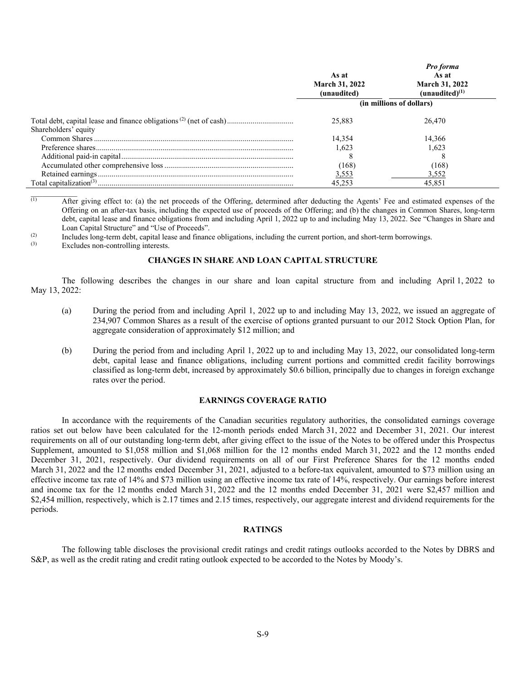|                      | As at<br><b>March 31, 2022</b><br>(unaudited) | Pro forma<br>As at<br><b>March 31, 2022</b><br>$(unaudited)^{(1)}$ |
|----------------------|-----------------------------------------------|--------------------------------------------------------------------|
|                      |                                               | (in millions of dollars)                                           |
|                      | 25,883                                        | 26,470                                                             |
| Shareholders' equity | 14,354                                        | 14,366                                                             |
|                      | 1.623                                         | 1.623                                                              |
|                      |                                               |                                                                    |
|                      | (168)                                         | (168)                                                              |
|                      | 3,553                                         | 3,552                                                              |
|                      | 45.253                                        | 45.851                                                             |

 $\overline{A(t)}$  After giving effect to: (a) the net proceeds of the Offering, determined after deducting the Agents' Fee and estimated expenses of the Offering on an after-tax basis, including the expected use of proceeds of the Offering; and (b) the changes in Common Shares, long-term debt, capital lease and finance obligations from and including April 1, 2022 up to and including May 13, 2022. See "Changes in Share and Loan Capital Structure" and "Use of Proceeds".

 $\sum_{i=1}^{(2)}$  Includes long-term debt, capital lease and finance obligations, including the current portion, and short-term borrowings.

Excludes non-controlling interests.

#### **CHANGES IN SHARE AND LOAN CAPITAL STRUCTURE**

The following describes the changes in our share and loan capital structure from and including April 1, 2022 to May 13, 2022:

- (a) During the period from and including April 1, 2022 up to and including May 13, 2022, we issued an aggregate of 234,907 Common Shares as a result of the exercise of options granted pursuant to our 2012 Stock Option Plan, for aggregate consideration of approximately \$12 million; and
- (b) During the period from and including April 1, 2022 up to and including May 13, 2022, our consolidated long-term debt, capital lease and finance obligations, including current portions and committed credit facility borrowings classified as long-term debt, increased by approximately \$0.6 billion, principally due to changes in foreign exchange rates over the period.

## **EARNINGS COVERAGE RATIO**

In accordance with the requirements of the Canadian securities regulatory authorities, the consolidated earnings coverage ratios set out below have been calculated for the 12-month periods ended March 31, 2022 and December 31, 2021. Our interest requirements on all of our outstanding long-term debt, after giving effect to the issue of the Notes to be offered under this Prospectus Supplement, amounted to \$1,058 million and \$1,068 million for the 12 months ended March 31, 2022 and the 12 months ended December 31, 2021, respectively. Our dividend requirements on all of our First Preference Shares for the 12 months ended March 31, 2022 and the 12 months ended December 31, 2021, adjusted to a before-tax equivalent, amounted to \$73 million using an effective income tax rate of 14% and \$73 million using an effective income tax rate of 14%, respectively. Our earnings before interest and income tax for the 12 months ended March 31, 2022 and the 12 months ended December 31, 2021 were \$2,457 million and \$2,454 million, respectively, which is 2.17 times and 2.15 times, respectively, our aggregate interest and dividend requirements for the periods.

## **RATINGS**

The following table discloses the provisional credit ratings and credit ratings outlooks accorded to the Notes by DBRS and S&P, as well as the credit rating and credit rating outlook expected to be accorded to the Notes by Moody's.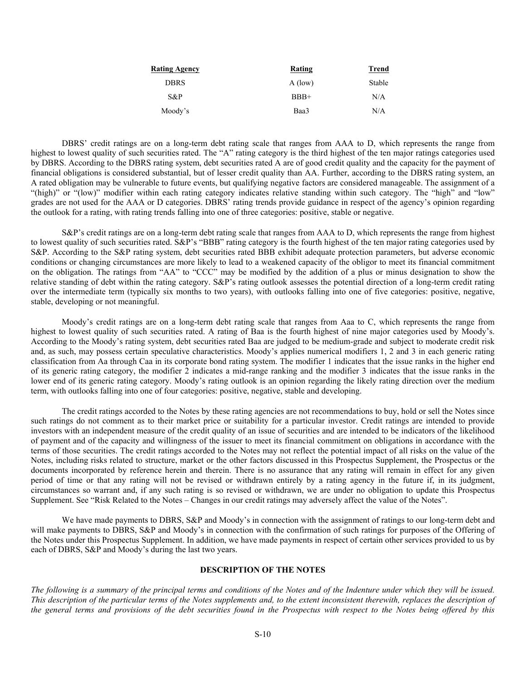| <b>Rating Agency</b> | Rating    | <b>Trend</b> |
|----------------------|-----------|--------------|
| <b>DBRS</b>          | $A$ (low) | Stable       |
| S&P                  | $BBB+$    | N/A          |
| Moody's              | Baa3      | N/A          |

DBRS' credit ratings are on a long-term debt rating scale that ranges from AAA to D, which represents the range from highest to lowest quality of such securities rated. The "A" rating category is the third highest of the ten major ratings categories used by DBRS. According to the DBRS rating system, debt securities rated A are of good credit quality and the capacity for the payment of financial obligations is considered substantial, but of lesser credit quality than AA. Further, according to the DBRS rating system, an A rated obligation may be vulnerable to future events, but qualifying negative factors are considered manageable. The assignment of a "(high)" or "(low)" modifier within each rating category indicates relative standing within such category. The "high" and "low" grades are not used for the AAA or D categories. DBRS' rating trends provide guidance in respect of the agency's opinion regarding the outlook for a rating, with rating trends falling into one of three categories: positive, stable or negative.

S&P's credit ratings are on a long-term debt rating scale that ranges from AAA to D, which represents the range from highest to lowest quality of such securities rated. S&P's "BBB" rating category is the fourth highest of the ten major rating categories used by S&P. According to the S&P rating system, debt securities rated BBB exhibit adequate protection parameters, but adverse economic conditions or changing circumstances are more likely to lead to a weakened capacity of the obligor to meet its financial commitment on the obligation. The ratings from "AA" to "CCC" may be modified by the addition of a plus or minus designation to show the relative standing of debt within the rating category. S&P's rating outlook assesses the potential direction of a long-term credit rating over the intermediate term (typically six months to two years), with outlooks falling into one of five categories: positive, negative, stable, developing or not meaningful.

Moody's credit ratings are on a long-term debt rating scale that ranges from Aaa to C, which represents the range from highest to lowest quality of such securities rated. A rating of Baa is the fourth highest of nine major categories used by Moody's. According to the Moody's rating system, debt securities rated Baa are judged to be medium-grade and subject to moderate credit risk and, as such, may possess certain speculative characteristics. Moody's applies numerical modifiers 1, 2 and 3 in each generic rating classification from Aa through Caa in its corporate bond rating system. The modifier 1 indicates that the issue ranks in the higher end of its generic rating category, the modifier 2 indicates a mid-range ranking and the modifier 3 indicates that the issue ranks in the lower end of its generic rating category. Moody's rating outlook is an opinion regarding the likely rating direction over the medium term, with outlooks falling into one of four categories: positive, negative, stable and developing.

The credit ratings accorded to the Notes by these rating agencies are not recommendations to buy, hold or sell the Notes since such ratings do not comment as to their market price or suitability for a particular investor. Credit ratings are intended to provide investors with an independent measure of the credit quality of an issue of securities and are intended to be indicators of the likelihood of payment and of the capacity and willingness of the issuer to meet its financial commitment on obligations in accordance with the terms of those securities. The credit ratings accorded to the Notes may not reflect the potential impact of all risks on the value of the Notes, including risks related to structure, market or the other factors discussed in this Prospectus Supplement, the Prospectus or the documents incorporated by reference herein and therein. There is no assurance that any rating will remain in effect for any given period of time or that any rating will not be revised or withdrawn entirely by a rating agency in the future if, in its judgment, circumstances so warrant and, if any such rating is so revised or withdrawn, we are under no obligation to update this Prospectus Supplement. See "Risk Related to the Notes – Changes in our credit ratings may adversely affect the value of the Notes".

We have made payments to DBRS, S&P and Moody's in connection with the assignment of ratings to our long-term debt and will make payments to DBRS, S&P and Moody's in connection with the confirmation of such ratings for purposes of the Offering of the Notes under this Prospectus Supplement. In addition, we have made payments in respect of certain other services provided to us by each of DBRS, S&P and Moody's during the last two years.

## **DESCRIPTION OF THE NOTES**

*The following is a summary of the principal terms and conditions of the Notes and of the Indenture under which they will be issued. This description of the particular terms of the Notes supplements and, to the extent inconsistent therewith, replaces the description of the general terms and provisions of the debt securities found in the Prospectus with respect to the Notes being offered by this*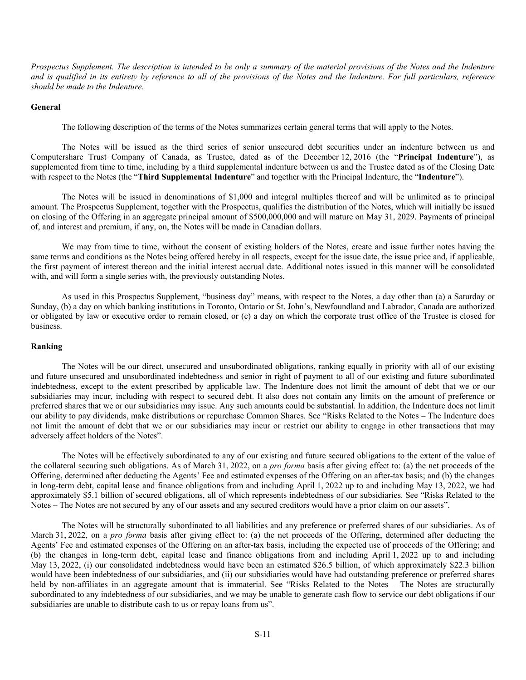*Prospectus Supplement. The description is intended to be only a summary of the material provisions of the Notes and the Indenture and is qualified in its entirety by reference to all of the provisions of the Notes and the Indenture. For full particulars, reference should be made to the Indenture.*

#### **General**

The following description of the terms of the Notes summarizes certain general terms that will apply to the Notes.

The Notes will be issued as the third series of senior unsecured debt securities under an indenture between us and Computershare Trust Company of Canada, as Trustee, dated as of the December 12, 2016 (the "**Principal Indenture**"), as supplemented from time to time, including by a third supplemental indenture between us and the Trustee dated as of the Closing Date with respect to the Notes (the "**Third Supplemental Indenture**" and together with the Principal Indenture, the "**Indenture**").

The Notes will be issued in denominations of \$1,000 and integral multiples thereof and will be unlimited as to principal amount. The Prospectus Supplement, together with the Prospectus, qualifies the distribution of the Notes, which will initially be issued on closing of the Offering in an aggregate principal amount of \$500,000,000 and will mature on May 31, 2029. Payments of principal of, and interest and premium, if any, on, the Notes will be made in Canadian dollars.

We may from time to time, without the consent of existing holders of the Notes, create and issue further notes having the same terms and conditions as the Notes being offered hereby in all respects, except for the issue date, the issue price and, if applicable, the first payment of interest thereon and the initial interest accrual date. Additional notes issued in this manner will be consolidated with, and will form a single series with, the previously outstanding Notes.

As used in this Prospectus Supplement, "business day" means, with respect to the Notes, a day other than (a) a Saturday or Sunday, (b) a day on which banking institutions in Toronto, Ontario or St. John's, Newfoundland and Labrador, Canada are authorized or obligated by law or executive order to remain closed, or (c) a day on which the corporate trust office of the Trustee is closed for business.

## **Ranking**

The Notes will be our direct, unsecured and unsubordinated obligations, ranking equally in priority with all of our existing and future unsecured and unsubordinated indebtedness and senior in right of payment to all of our existing and future subordinated indebtedness, except to the extent prescribed by applicable law. The Indenture does not limit the amount of debt that we or our subsidiaries may incur, including with respect to secured debt. It also does not contain any limits on the amount of preference or preferred shares that we or our subsidiaries may issue. Any such amounts could be substantial. In addition, the Indenture does not limit our ability to pay dividends, make distributions or repurchase Common Shares. See "Risks Related to the Notes – The Indenture does not limit the amount of debt that we or our subsidiaries may incur or restrict our ability to engage in other transactions that may adversely affect holders of the Notes".

The Notes will be effectively subordinated to any of our existing and future secured obligations to the extent of the value of the collateral securing such obligations. As of March 31, 2022, on a *pro forma* basis after giving effect to: (a) the net proceeds of the Offering, determined after deducting the Agents' Fee and estimated expenses of the Offering on an after-tax basis; and (b) the changes in long-term debt, capital lease and finance obligations from and including April 1, 2022 up to and including May 13, 2022, we had approximately \$5.1 billion of secured obligations, all of which represents indebtedness of our subsidiaries. See "Risks Related to the Notes – The Notes are not secured by any of our assets and any secured creditors would have a prior claim on our assets".

The Notes will be structurally subordinated to all liabilities and any preference or preferred shares of our subsidiaries. As of March 31, 2022, on a *pro forma* basis after giving effect to: (a) the net proceeds of the Offering, determined after deducting the Agents' Fee and estimated expenses of the Offering on an after-tax basis, including the expected use of proceeds of the Offering; and (b) the changes in long-term debt, capital lease and finance obligations from and including April 1, 2022 up to and including May 13, 2022, (i) our consolidated indebtedness would have been an estimated \$26.5 billion, of which approximately \$22.3 billion would have been indebtedness of our subsidiaries, and (ii) our subsidiaries would have had outstanding preference or preferred shares held by non-affiliates in an aggregate amount that is immaterial. See "Risks Related to the Notes – The Notes are structurally subordinated to any indebtedness of our subsidiaries, and we may be unable to generate cash flow to service our debt obligations if our subsidiaries are unable to distribute cash to us or repay loans from us".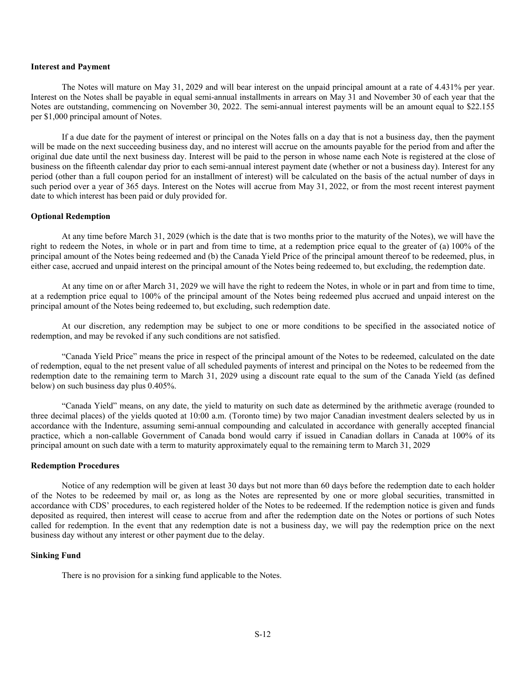## **Interest and Payment**

The Notes will mature on May 31, 2029 and will bear interest on the unpaid principal amount at a rate of 4.431% per year. Interest on the Notes shall be payable in equal semi-annual installments in arrears on May 31 and November 30 of each year that the Notes are outstanding, commencing on November 30, 2022. The semi-annual interest payments will be an amount equal to \$22.155 per \$1,000 principal amount of Notes.

If a due date for the payment of interest or principal on the Notes falls on a day that is not a business day, then the payment will be made on the next succeeding business day, and no interest will accrue on the amounts payable for the period from and after the original due date until the next business day. Interest will be paid to the person in whose name each Note is registered at the close of business on the fifteenth calendar day prior to each semi-annual interest payment date (whether or not a business day). Interest for any period (other than a full coupon period for an installment of interest) will be calculated on the basis of the actual number of days in such period over a year of 365 days. Interest on the Notes will accrue from May 31, 2022, or from the most recent interest payment date to which interest has been paid or duly provided for.

## **Optional Redemption**

At any time before March 31, 2029 (which is the date that is two months prior to the maturity of the Notes), we will have the right to redeem the Notes, in whole or in part and from time to time, at a redemption price equal to the greater of (a) 100% of the principal amount of the Notes being redeemed and (b) the Canada Yield Price of the principal amount thereof to be redeemed, plus, in either case, accrued and unpaid interest on the principal amount of the Notes being redeemed to, but excluding, the redemption date.

At any time on or after March 31, 2029 we will have the right to redeem the Notes, in whole or in part and from time to time, at a redemption price equal to 100% of the principal amount of the Notes being redeemed plus accrued and unpaid interest on the principal amount of the Notes being redeemed to, but excluding, such redemption date.

At our discretion, any redemption may be subject to one or more conditions to be specified in the associated notice of redemption, and may be revoked if any such conditions are not satisfied.

"Canada Yield Price" means the price in respect of the principal amount of the Notes to be redeemed, calculated on the date of redemption, equal to the net present value of all scheduled payments of interest and principal on the Notes to be redeemed from the redemption date to the remaining term to March 31, 2029 using a discount rate equal to the sum of the Canada Yield (as defined below) on such business day plus 0.405%.

"Canada Yield" means, on any date, the yield to maturity on such date as determined by the arithmetic average (rounded to three decimal places) of the yields quoted at 10:00 a.m. (Toronto time) by two major Canadian investment dealers selected by us in accordance with the Indenture, assuming semi-annual compounding and calculated in accordance with generally accepted financial practice, which a non-callable Government of Canada bond would carry if issued in Canadian dollars in Canada at 100% of its principal amount on such date with a term to maturity approximately equal to the remaining term to March 31, 2029

#### **Redemption Procedures**

Notice of any redemption will be given at least 30 days but not more than 60 days before the redemption date to each holder of the Notes to be redeemed by mail or, as long as the Notes are represented by one or more global securities, transmitted in accordance with CDS' procedures, to each registered holder of the Notes to be redeemed. If the redemption notice is given and funds deposited as required, then interest will cease to accrue from and after the redemption date on the Notes or portions of such Notes called for redemption. In the event that any redemption date is not a business day, we will pay the redemption price on the next business day without any interest or other payment due to the delay.

#### **Sinking Fund**

There is no provision for a sinking fund applicable to the Notes.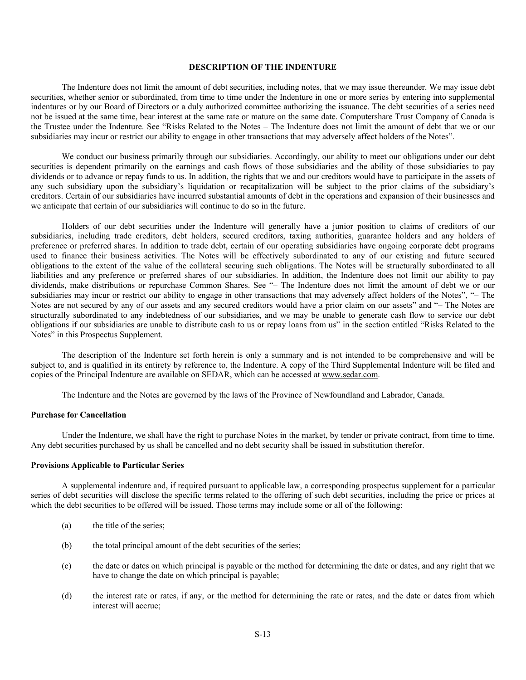## **DESCRIPTION OF THE INDENTURE**

The Indenture does not limit the amount of debt securities, including notes, that we may issue thereunder. We may issue debt securities, whether senior or subordinated, from time to time under the Indenture in one or more series by entering into supplemental indentures or by our Board of Directors or a duly authorized committee authorizing the issuance. The debt securities of a series need not be issued at the same time, bear interest at the same rate or mature on the same date. Computershare Trust Company of Canada is the Trustee under the Indenture. See "Risks Related to the Notes – The Indenture does not limit the amount of debt that we or our subsidiaries may incur or restrict our ability to engage in other transactions that may adversely affect holders of the Notes".

We conduct our business primarily through our subsidiaries. Accordingly, our ability to meet our obligations under our debt securities is dependent primarily on the earnings and cash flows of those subsidiaries and the ability of those subsidiaries to pay dividends or to advance or repay funds to us. In addition, the rights that we and our creditors would have to participate in the assets of any such subsidiary upon the subsidiary's liquidation or recapitalization will be subject to the prior claims of the subsidiary's creditors. Certain of our subsidiaries have incurred substantial amounts of debt in the operations and expansion of their businesses and we anticipate that certain of our subsidiaries will continue to do so in the future.

Holders of our debt securities under the Indenture will generally have a junior position to claims of creditors of our subsidiaries, including trade creditors, debt holders, secured creditors, taxing authorities, guarantee holders and any holders of preference or preferred shares. In addition to trade debt, certain of our operating subsidiaries have ongoing corporate debt programs used to finance their business activities. The Notes will be effectively subordinated to any of our existing and future secured obligations to the extent of the value of the collateral securing such obligations. The Notes will be structurally subordinated to all liabilities and any preference or preferred shares of our subsidiaries. In addition, the Indenture does not limit our ability to pay dividends, make distributions or repurchase Common Shares. See "– The Indenture does not limit the amount of debt we or our subsidiaries may incur or restrict our ability to engage in other transactions that may adversely affect holders of the Notes", "– The Notes are not secured by any of our assets and any secured creditors would have a prior claim on our assets" and "– The Notes are structurally subordinated to any indebtedness of our subsidiaries, and we may be unable to generate cash flow to service our debt obligations if our subsidiaries are unable to distribute cash to us or repay loans from us" in the section entitled "Risks Related to the Notes" in this Prospectus Supplement.

The description of the Indenture set forth herein is only a summary and is not intended to be comprehensive and will be subject to, and is qualified in its entirety by reference to, the Indenture. A copy of the Third Supplemental Indenture will be filed and copies of the Principal Indenture are available on SEDAR, which can be accessed at www.sedar.com.

The Indenture and the Notes are governed by the laws of the Province of Newfoundland and Labrador, Canada.

## **Purchase for Cancellation**

Under the Indenture, we shall have the right to purchase Notes in the market, by tender or private contract, from time to time. Any debt securities purchased by us shall be cancelled and no debt security shall be issued in substitution therefor.

#### **Provisions Applicable to Particular Series**

A supplemental indenture and, if required pursuant to applicable law, a corresponding prospectus supplement for a particular series of debt securities will disclose the specific terms related to the offering of such debt securities, including the price or prices at which the debt securities to be offered will be issued. Those terms may include some or all of the following:

- (a) the title of the series;
- (b) the total principal amount of the debt securities of the series;
- (c) the date or dates on which principal is payable or the method for determining the date or dates, and any right that we have to change the date on which principal is payable;
- (d) the interest rate or rates, if any, or the method for determining the rate or rates, and the date or dates from which interest will accrue;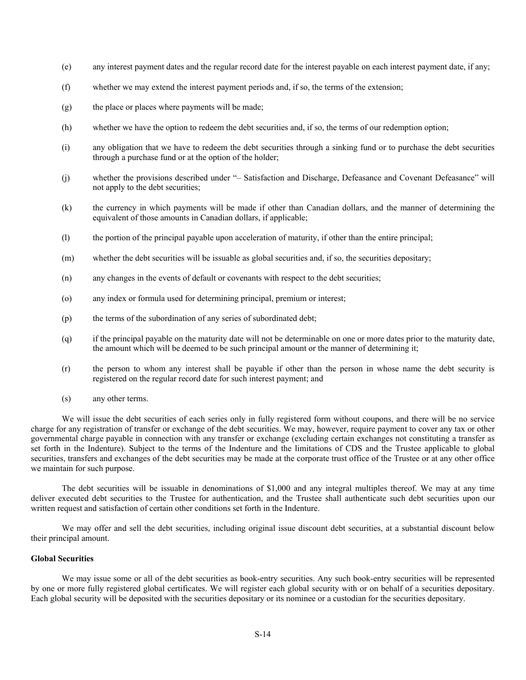- (e) any interest payment dates and the regular record date for the interest payable on each interest payment date, if any;
- (f) whether we may extend the interest payment periods and, if so, the terms of the extension;
- (g) the place or places where payments will be made;
- (h) whether we have the option to redeem the debt securities and, if so, the terms of our redemption option;
- (i) any obligation that we have to redeem the debt securities through a sinking fund or to purchase the debt securities through a purchase fund or at the option of the holder;
- (j) whether the provisions described under "– Satisfaction and Discharge, Defeasance and Covenant Defeasance" will not apply to the debt securities;
- (k) the currency in which payments will be made if other than Canadian dollars, and the manner of determining the equivalent of those amounts in Canadian dollars, if applicable;
- (l) the portion of the principal payable upon acceleration of maturity, if other than the entire principal;
- (m) whether the debt securities will be issuable as global securities and, if so, the securities depositary;
- (n) any changes in the events of default or covenants with respect to the debt securities;
- (o) any index or formula used for determining principal, premium or interest;
- (p) the terms of the subordination of any series of subordinated debt;
- (q) if the principal payable on the maturity date will not be determinable on one or more dates prior to the maturity date, the amount which will be deemed to be such principal amount or the manner of determining it;
- (r) the person to whom any interest shall be payable if other than the person in whose name the debt security is registered on the regular record date for such interest payment; and
- (s) any other terms.

We will issue the debt securities of each series only in fully registered form without coupons, and there will be no service charge for any registration of transfer or exchange of the debt securities. We may, however, require payment to cover any tax or other governmental charge payable in connection with any transfer or exchange (excluding certain exchanges not constituting a transfer as set forth in the Indenture). Subject to the terms of the Indenture and the limitations of CDS and the Trustee applicable to global securities, transfers and exchanges of the debt securities may be made at the corporate trust office of the Trustee or at any other office we maintain for such purpose.

The debt securities will be issuable in denominations of \$1,000 and any integral multiples thereof. We may at any time deliver executed debt securities to the Trustee for authentication, and the Trustee shall authenticate such debt securities upon our written request and satisfaction of certain other conditions set forth in the Indenture.

We may offer and sell the debt securities, including original issue discount debt securities, at a substantial discount below their principal amount.

# **Global Securities**

We may issue some or all of the debt securities as book-entry securities. Any such book-entry securities will be represented by one or more fully registered global certificates. We will register each global security with or on behalf of a securities depositary. Each global security will be deposited with the securities depositary or its nominee or a custodian for the securities depositary.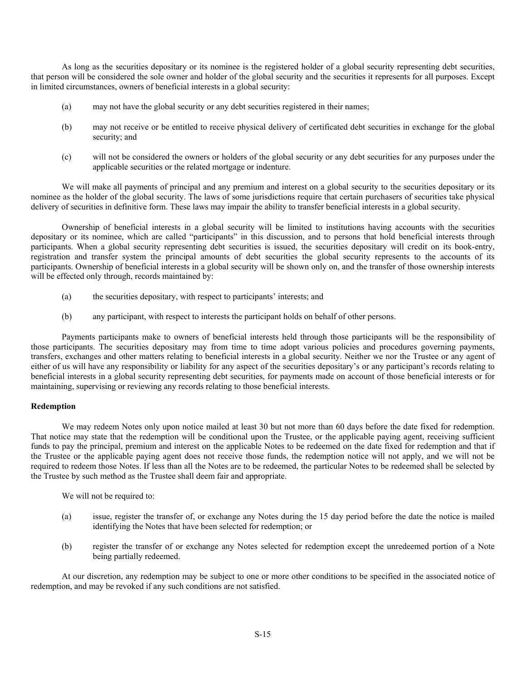As long as the securities depositary or its nominee is the registered holder of a global security representing debt securities, that person will be considered the sole owner and holder of the global security and the securities it represents for all purposes. Except in limited circumstances, owners of beneficial interests in a global security:

- (a) may not have the global security or any debt securities registered in their names;
- (b) may not receive or be entitled to receive physical delivery of certificated debt securities in exchange for the global security; and
- (c) will not be considered the owners or holders of the global security or any debt securities for any purposes under the applicable securities or the related mortgage or indenture.

We will make all payments of principal and any premium and interest on a global security to the securities depositary or its nominee as the holder of the global security. The laws of some jurisdictions require that certain purchasers of securities take physical delivery of securities in definitive form. These laws may impair the ability to transfer beneficial interests in a global security.

Ownership of beneficial interests in a global security will be limited to institutions having accounts with the securities depositary or its nominee, which are called "participants" in this discussion, and to persons that hold beneficial interests through participants. When a global security representing debt securities is issued, the securities depositary will credit on its book-entry, registration and transfer system the principal amounts of debt securities the global security represents to the accounts of its participants. Ownership of beneficial interests in a global security will be shown only on, and the transfer of those ownership interests will be effected only through, records maintained by:

- (a) the securities depositary, with respect to participants' interests; and
- (b) any participant, with respect to interests the participant holds on behalf of other persons.

Payments participants make to owners of beneficial interests held through those participants will be the responsibility of those participants. The securities depositary may from time to time adopt various policies and procedures governing payments, transfers, exchanges and other matters relating to beneficial interests in a global security. Neither we nor the Trustee or any agent of either of us will have any responsibility or liability for any aspect of the securities depositary's or any participant's records relating to beneficial interests in a global security representing debt securities, for payments made on account of those beneficial interests or for maintaining, supervising or reviewing any records relating to those beneficial interests.

## **Redemption**

We may redeem Notes only upon notice mailed at least 30 but not more than 60 days before the date fixed for redemption. That notice may state that the redemption will be conditional upon the Trustee, or the applicable paying agent, receiving sufficient funds to pay the principal, premium and interest on the applicable Notes to be redeemed on the date fixed for redemption and that if the Trustee or the applicable paying agent does not receive those funds, the redemption notice will not apply, and we will not be required to redeem those Notes. If less than all the Notes are to be redeemed, the particular Notes to be redeemed shall be selected by the Trustee by such method as the Trustee shall deem fair and appropriate.

We will not be required to:

- (a) issue, register the transfer of, or exchange any Notes during the 15 day period before the date the notice is mailed identifying the Notes that have been selected for redemption; or
- (b) register the transfer of or exchange any Notes selected for redemption except the unredeemed portion of a Note being partially redeemed.

At our discretion, any redemption may be subject to one or more other conditions to be specified in the associated notice of redemption, and may be revoked if any such conditions are not satisfied.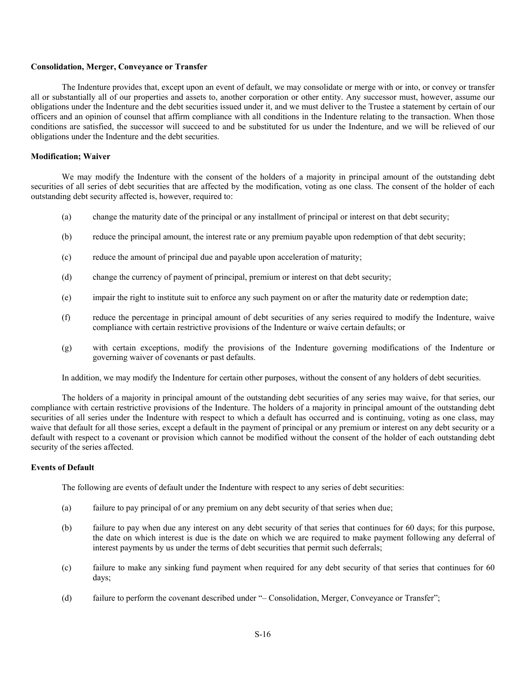## **Consolidation, Merger, Conveyance or Transfer**

The Indenture provides that, except upon an event of default, we may consolidate or merge with or into, or convey or transfer all or substantially all of our properties and assets to, another corporation or other entity. Any successor must, however, assume our obligations under the Indenture and the debt securities issued under it, and we must deliver to the Trustee a statement by certain of our officers and an opinion of counsel that affirm compliance with all conditions in the Indenture relating to the transaction. When those conditions are satisfied, the successor will succeed to and be substituted for us under the Indenture, and we will be relieved of our obligations under the Indenture and the debt securities.

### **Modification; Waiver**

We may modify the Indenture with the consent of the holders of a majority in principal amount of the outstanding debt securities of all series of debt securities that are affected by the modification, voting as one class. The consent of the holder of each outstanding debt security affected is, however, required to:

- (a) change the maturity date of the principal or any installment of principal or interest on that debt security;
- (b) reduce the principal amount, the interest rate or any premium payable upon redemption of that debt security;
- (c) reduce the amount of principal due and payable upon acceleration of maturity;
- (d) change the currency of payment of principal, premium or interest on that debt security;
- (e) impair the right to institute suit to enforce any such payment on or after the maturity date or redemption date;
- (f) reduce the percentage in principal amount of debt securities of any series required to modify the Indenture, waive compliance with certain restrictive provisions of the Indenture or waive certain defaults; or
- (g) with certain exceptions, modify the provisions of the Indenture governing modifications of the Indenture or governing waiver of covenants or past defaults.

In addition, we may modify the Indenture for certain other purposes, without the consent of any holders of debt securities.

The holders of a majority in principal amount of the outstanding debt securities of any series may waive, for that series, our compliance with certain restrictive provisions of the Indenture. The holders of a majority in principal amount of the outstanding debt securities of all series under the Indenture with respect to which a default has occurred and is continuing, voting as one class, may waive that default for all those series, except a default in the payment of principal or any premium or interest on any debt security or a default with respect to a covenant or provision which cannot be modified without the consent of the holder of each outstanding debt security of the series affected.

## **Events of Default**

The following are events of default under the Indenture with respect to any series of debt securities:

- (a) failure to pay principal of or any premium on any debt security of that series when due;
- (b) failure to pay when due any interest on any debt security of that series that continues for 60 days; for this purpose, the date on which interest is due is the date on which we are required to make payment following any deferral of interest payments by us under the terms of debt securities that permit such deferrals;
- (c) failure to make any sinking fund payment when required for any debt security of that series that continues for 60 days;
- (d) failure to perform the covenant described under "– Consolidation, Merger, Conveyance or Transfer";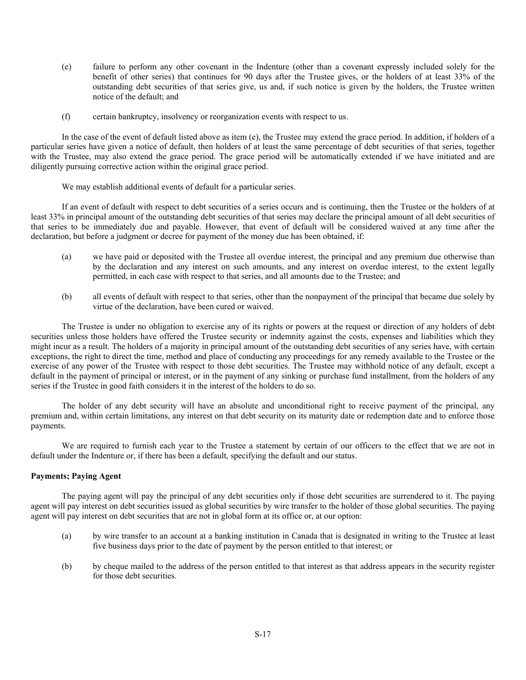- (e) failure to perform any other covenant in the Indenture (other than a covenant expressly included solely for the benefit of other series) that continues for 90 days after the Trustee gives, or the holders of at least 33% of the outstanding debt securities of that series give, us and, if such notice is given by the holders, the Trustee written notice of the default; and
- (f) certain bankruptcy, insolvency or reorganization events with respect to us.

In the case of the event of default listed above as item (e), the Trustee may extend the grace period. In addition, if holders of a particular series have given a notice of default, then holders of at least the same percentage of debt securities of that series, together with the Trustee, may also extend the grace period. The grace period will be automatically extended if we have initiated and are diligently pursuing corrective action within the original grace period.

We may establish additional events of default for a particular series.

If an event of default with respect to debt securities of a series occurs and is continuing, then the Trustee or the holders of at least 33% in principal amount of the outstanding debt securities of that series may declare the principal amount of all debt securities of that series to be immediately due and payable. However, that event of default will be considered waived at any time after the declaration, but before a judgment or decree for payment of the money due has been obtained, if:

- (a) we have paid or deposited with the Trustee all overdue interest, the principal and any premium due otherwise than by the declaration and any interest on such amounts, and any interest on overdue interest, to the extent legally permitted, in each case with respect to that series, and all amounts due to the Trustee; and
- (b) all events of default with respect to that series, other than the nonpayment of the principal that became due solely by virtue of the declaration, have been cured or waived.

The Trustee is under no obligation to exercise any of its rights or powers at the request or direction of any holders of debt securities unless those holders have offered the Trustee security or indemnity against the costs, expenses and liabilities which they might incur as a result. The holders of a majority in principal amount of the outstanding debt securities of any series have, with certain exceptions, the right to direct the time, method and place of conducting any proceedings for any remedy available to the Trustee or the exercise of any power of the Trustee with respect to those debt securities. The Trustee may withhold notice of any default, except a default in the payment of principal or interest, or in the payment of any sinking or purchase fund installment, from the holders of any series if the Trustee in good faith considers it in the interest of the holders to do so.

The holder of any debt security will have an absolute and unconditional right to receive payment of the principal, any premium and, within certain limitations, any interest on that debt security on its maturity date or redemption date and to enforce those payments.

We are required to furnish each year to the Trustee a statement by certain of our officers to the effect that we are not in default under the Indenture or, if there has been a default, specifying the default and our status.

# **Payments; Paying Agent**

The paying agent will pay the principal of any debt securities only if those debt securities are surrendered to it. The paying agent will pay interest on debt securities issued as global securities by wire transfer to the holder of those global securities. The paying agent will pay interest on debt securities that are not in global form at its office or, at our option:

- (a) by wire transfer to an account at a banking institution in Canada that is designated in writing to the Trustee at least five business days prior to the date of payment by the person entitled to that interest; or
- (b) by cheque mailed to the address of the person entitled to that interest as that address appears in the security register for those debt securities.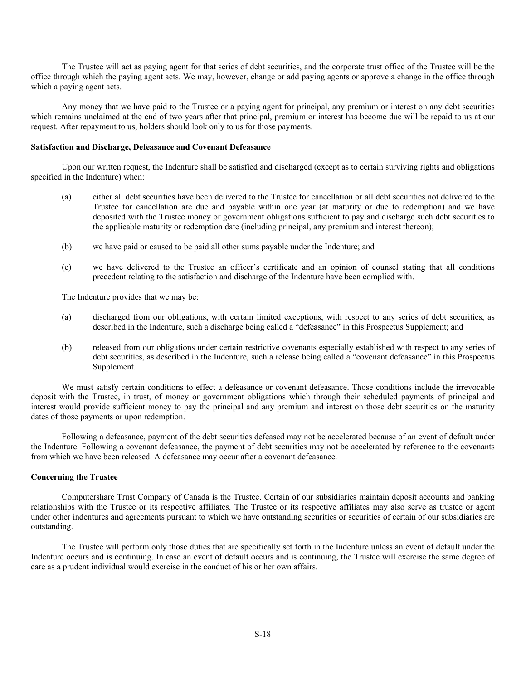The Trustee will act as paying agent for that series of debt securities, and the corporate trust office of the Trustee will be the office through which the paying agent acts. We may, however, change or add paying agents or approve a change in the office through which a paying agent acts.

Any money that we have paid to the Trustee or a paying agent for principal, any premium or interest on any debt securities which remains unclaimed at the end of two years after that principal, premium or interest has become due will be repaid to us at our request. After repayment to us, holders should look only to us for those payments.

## **Satisfaction and Discharge, Defeasance and Covenant Defeasance**

Upon our written request, the Indenture shall be satisfied and discharged (except as to certain surviving rights and obligations specified in the Indenture) when:

- (a) either all debt securities have been delivered to the Trustee for cancellation or all debt securities not delivered to the Trustee for cancellation are due and payable within one year (at maturity or due to redemption) and we have deposited with the Trustee money or government obligations sufficient to pay and discharge such debt securities to the applicable maturity or redemption date (including principal, any premium and interest thereon);
- (b) we have paid or caused to be paid all other sums payable under the Indenture; and
- (c) we have delivered to the Trustee an officer's certificate and an opinion of counsel stating that all conditions precedent relating to the satisfaction and discharge of the Indenture have been complied with.

The Indenture provides that we may be:

- (a) discharged from our obligations, with certain limited exceptions, with respect to any series of debt securities, as described in the Indenture, such a discharge being called a "defeasance" in this Prospectus Supplement; and
- (b) released from our obligations under certain restrictive covenants especially established with respect to any series of debt securities, as described in the Indenture, such a release being called a "covenant defeasance" in this Prospectus Supplement.

We must satisfy certain conditions to effect a defeasance or covenant defeasance. Those conditions include the irrevocable deposit with the Trustee, in trust, of money or government obligations which through their scheduled payments of principal and interest would provide sufficient money to pay the principal and any premium and interest on those debt securities on the maturity dates of those payments or upon redemption.

Following a defeasance, payment of the debt securities defeased may not be accelerated because of an event of default under the Indenture. Following a covenant defeasance, the payment of debt securities may not be accelerated by reference to the covenants from which we have been released. A defeasance may occur after a covenant defeasance.

## **Concerning the Trustee**

Computershare Trust Company of Canada is the Trustee. Certain of our subsidiaries maintain deposit accounts and banking relationships with the Trustee or its respective affiliates. The Trustee or its respective affiliates may also serve as trustee or agent under other indentures and agreements pursuant to which we have outstanding securities or securities of certain of our subsidiaries are outstanding.

The Trustee will perform only those duties that are specifically set forth in the Indenture unless an event of default under the Indenture occurs and is continuing. In case an event of default occurs and is continuing, the Trustee will exercise the same degree of care as a prudent individual would exercise in the conduct of his or her own affairs.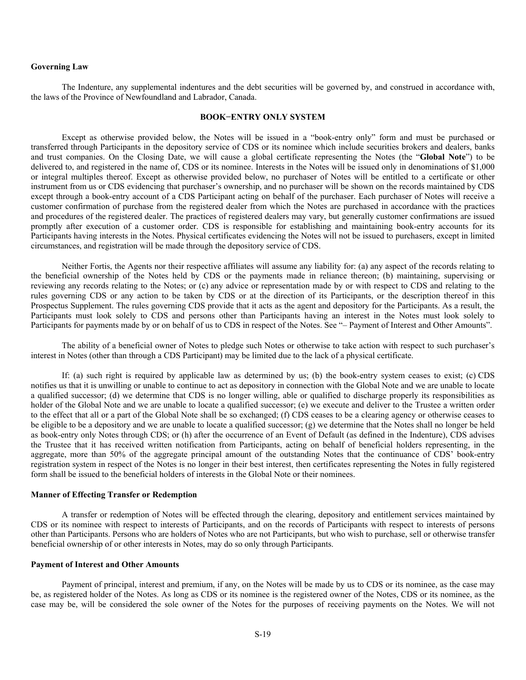## **Governing Law**

The Indenture, any supplemental indentures and the debt securities will be governed by, and construed in accordance with, the laws of the Province of Newfoundland and Labrador, Canada.

#### **BOOK−ENTRY ONLY SYSTEM**

Except as otherwise provided below, the Notes will be issued in a "book-entry only" form and must be purchased or transferred through Participants in the depository service of CDS or its nominee which include securities brokers and dealers, banks and trust companies. On the Closing Date, we will cause a global certificate representing the Notes (the "**Global Note**") to be delivered to, and registered in the name of, CDS or its nominee. Interests in the Notes will be issued only in denominations of \$1,000 or integral multiples thereof. Except as otherwise provided below, no purchaser of Notes will be entitled to a certificate or other instrument from us or CDS evidencing that purchaser's ownership, and no purchaser will be shown on the records maintained by CDS except through a book-entry account of a CDS Participant acting on behalf of the purchaser. Each purchaser of Notes will receive a customer confirmation of purchase from the registered dealer from which the Notes are purchased in accordance with the practices and procedures of the registered dealer. The practices of registered dealers may vary, but generally customer confirmations are issued promptly after execution of a customer order. CDS is responsible for establishing and maintaining book-entry accounts for its Participants having interests in the Notes. Physical certificates evidencing the Notes will not be issued to purchasers, except in limited circumstances, and registration will be made through the depository service of CDS.

Neither Fortis, the Agents nor their respective affiliates will assume any liability for: (a) any aspect of the records relating to the beneficial ownership of the Notes held by CDS or the payments made in reliance thereon; (b) maintaining, supervising or reviewing any records relating to the Notes; or (c) any advice or representation made by or with respect to CDS and relating to the rules governing CDS or any action to be taken by CDS or at the direction of its Participants, or the description thereof in this Prospectus Supplement. The rules governing CDS provide that it acts as the agent and depository for the Participants. As a result, the Participants must look solely to CDS and persons other than Participants having an interest in the Notes must look solely to Participants for payments made by or on behalf of us to CDS in respect of the Notes. See "– Payment of Interest and Other Amounts".

The ability of a beneficial owner of Notes to pledge such Notes or otherwise to take action with respect to such purchaser's interest in Notes (other than through a CDS Participant) may be limited due to the lack of a physical certificate.

If: (a) such right is required by applicable law as determined by us; (b) the book-entry system ceases to exist; (c) CDS notifies us that it is unwilling or unable to continue to act as depository in connection with the Global Note and we are unable to locate a qualified successor; (d) we determine that CDS is no longer willing, able or qualified to discharge properly its responsibilities as holder of the Global Note and we are unable to locate a qualified successor; (e) we execute and deliver to the Trustee a written order to the effect that all or a part of the Global Note shall be so exchanged; (f) CDS ceases to be a clearing agency or otherwise ceases to be eligible to be a depository and we are unable to locate a qualified successor; (g) we determine that the Notes shall no longer be held as book-entry only Notes through CDS; or (h) after the occurrence of an Event of Default (as defined in the Indenture), CDS advises the Trustee that it has received written notification from Participants, acting on behalf of beneficial holders representing, in the aggregate, more than 50% of the aggregate principal amount of the outstanding Notes that the continuance of CDS' book-entry registration system in respect of the Notes is no longer in their best interest, then certificates representing the Notes in fully registered form shall be issued to the beneficial holders of interests in the Global Note or their nominees.

#### **Manner of Effecting Transfer or Redemption**

A transfer or redemption of Notes will be effected through the clearing, depository and entitlement services maintained by CDS or its nominee with respect to interests of Participants, and on the records of Participants with respect to interests of persons other than Participants. Persons who are holders of Notes who are not Participants, but who wish to purchase, sell or otherwise transfer beneficial ownership of or other interests in Notes, may do so only through Participants.

#### **Payment of Interest and Other Amounts**

Payment of principal, interest and premium, if any, on the Notes will be made by us to CDS or its nominee, as the case may be, as registered holder of the Notes. As long as CDS or its nominee is the registered owner of the Notes, CDS or its nominee, as the case may be, will be considered the sole owner of the Notes for the purposes of receiving payments on the Notes. We will not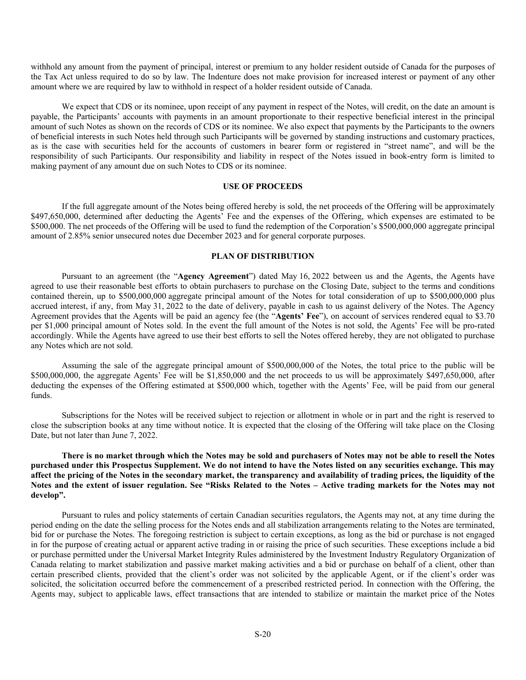withhold any amount from the payment of principal, interest or premium to any holder resident outside of Canada for the purposes of the Tax Act unless required to do so by law. The Indenture does not make provision for increased interest or payment of any other amount where we are required by law to withhold in respect of a holder resident outside of Canada.

We expect that CDS or its nominee, upon receipt of any payment in respect of the Notes, will credit, on the date an amount is payable, the Participants' accounts with payments in an amount proportionate to their respective beneficial interest in the principal amount of such Notes as shown on the records of CDS or its nominee. We also expect that payments by the Participants to the owners of beneficial interests in such Notes held through such Participants will be governed by standing instructions and customary practices, as is the case with securities held for the accounts of customers in bearer form or registered in "street name", and will be the responsibility of such Participants. Our responsibility and liability in respect of the Notes issued in book-entry form is limited to making payment of any amount due on such Notes to CDS or its nominee.

## **USE OF PROCEEDS**

If the full aggregate amount of the Notes being offered hereby is sold, the net proceeds of the Offering will be approximately \$497,650,000, determined after deducting the Agents' Fee and the expenses of the Offering, which expenses are estimated to be \$500,000. The net proceeds of the Offering will be used to fund the redemption of the Corporation's \$500,000,000 aggregate principal amount of 2.85% senior unsecured notes due December 2023 and for general corporate purposes.

## **PLAN OF DISTRIBUTION**

Pursuant to an agreement (the "**Agency Agreement**") dated May 16, 2022 between us and the Agents, the Agents have agreed to use their reasonable best efforts to obtain purchasers to purchase on the Closing Date, subject to the terms and conditions contained therein, up to \$500,000,000 aggregate principal amount of the Notes for total consideration of up to \$500,000,000 plus accrued interest, if any, from May 31, 2022 to the date of delivery, payable in cash to us against delivery of the Notes. The Agency Agreement provides that the Agents will be paid an agency fee (the "**Agents' Fee**"), on account of services rendered equal to \$3.70 per \$1,000 principal amount of Notes sold. In the event the full amount of the Notes is not sold, the Agents' Fee will be pro-rated accordingly. While the Agents have agreed to use their best efforts to sell the Notes offered hereby, they are not obligated to purchase any Notes which are not sold.

Assuming the sale of the aggregate principal amount of \$500,000,000 of the Notes, the total price to the public will be \$500,000,000, the aggregate Agents' Fee will be \$1,850,000 and the net proceeds to us will be approximately \$497,650,000, after deducting the expenses of the Offering estimated at \$500,000 which, together with the Agents' Fee, will be paid from our general funds.

Subscriptions for the Notes will be received subject to rejection or allotment in whole or in part and the right is reserved to close the subscription books at any time without notice. It is expected that the closing of the Offering will take place on the Closing Date, but not later than June 7, 2022.

# **There is no market through which the Notes may be sold and purchasers of Notes may not be able to resell the Notes purchased under this Prospectus Supplement. We do not intend to have the Notes listed on any securities exchange. This may affect the pricing of the Notes in the secondary market, the transparency and availability of trading prices, the liquidity of the Notes and the extent of issuer regulation. See "Risks Related to the Notes – Active trading markets for the Notes may not develop".**

Pursuant to rules and policy statements of certain Canadian securities regulators, the Agents may not, at any time during the period ending on the date the selling process for the Notes ends and all stabilization arrangements relating to the Notes are terminated, bid for or purchase the Notes. The foregoing restriction is subject to certain exceptions, as long as the bid or purchase is not engaged in for the purpose of creating actual or apparent active trading in or raising the price of such securities. These exceptions include a bid or purchase permitted under the Universal Market Integrity Rules administered by the Investment Industry Regulatory Organization of Canada relating to market stabilization and passive market making activities and a bid or purchase on behalf of a client, other than certain prescribed clients, provided that the client's order was not solicited by the applicable Agent, or if the client's order was solicited, the solicitation occurred before the commencement of a prescribed restricted period. In connection with the Offering, the Agents may, subject to applicable laws, effect transactions that are intended to stabilize or maintain the market price of the Notes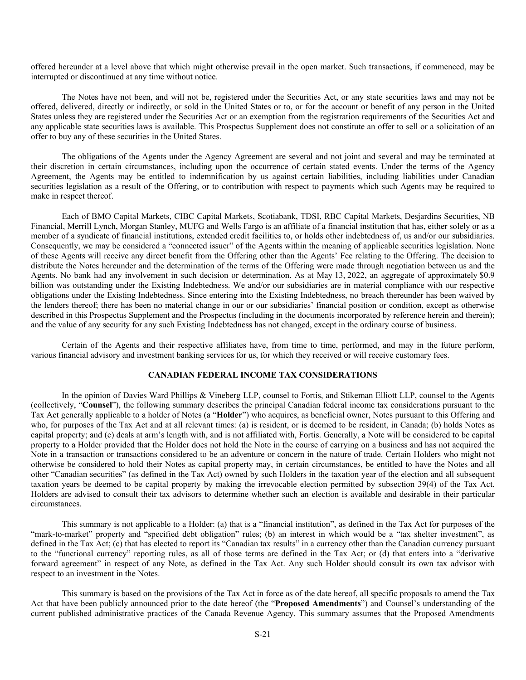offered hereunder at a level above that which might otherwise prevail in the open market. Such transactions, if commenced, may be interrupted or discontinued at any time without notice.

The Notes have not been, and will not be, registered under the Securities Act, or any state securities laws and may not be offered, delivered, directly or indirectly, or sold in the United States or to, or for the account or benefit of any person in the United States unless they are registered under the Securities Act or an exemption from the registration requirements of the Securities Act and any applicable state securities laws is available. This Prospectus Supplement does not constitute an offer to sell or a solicitation of an offer to buy any of these securities in the United States.

The obligations of the Agents under the Agency Agreement are several and not joint and several and may be terminated at their discretion in certain circumstances, including upon the occurrence of certain stated events. Under the terms of the Agency Agreement, the Agents may be entitled to indemnification by us against certain liabilities, including liabilities under Canadian securities legislation as a result of the Offering, or to contribution with respect to payments which such Agents may be required to make in respect thereof.

Each of BMO Capital Markets, CIBC Capital Markets, Scotiabank, TDSI, RBC Capital Markets, Desjardins Securities, NB Financial, Merrill Lynch, Morgan Stanley, MUFG and Wells Fargo is an affiliate of a financial institution that has, either solely or as a member of a syndicate of financial institutions, extended credit facilities to, or holds other indebtedness of, us and/or our subsidiaries. Consequently, we may be considered a "connected issuer" of the Agents within the meaning of applicable securities legislation. None of these Agents will receive any direct benefit from the Offering other than the Agents' Fee relating to the Offering. The decision to distribute the Notes hereunder and the determination of the terms of the Offering were made through negotiation between us and the Agents. No bank had any involvement in such decision or determination. As at May 13, 2022, an aggregate of approximately \$0.9 billion was outstanding under the Existing Indebtedness. We and/or our subsidiaries are in material compliance with our respective obligations under the Existing Indebtedness. Since entering into the Existing Indebtedness, no breach thereunder has been waived by the lenders thereof; there has been no material change in our or our subsidiaries' financial position or condition, except as otherwise described in this Prospectus Supplement and the Prospectus (including in the documents incorporated by reference herein and therein); and the value of any security for any such Existing Indebtedness has not changed, except in the ordinary course of business.

Certain of the Agents and their respective affiliates have, from time to time, performed, and may in the future perform, various financial advisory and investment banking services for us, for which they received or will receive customary fees.

## **CANADIAN FEDERAL INCOME TAX CONSIDERATIONS**

In the opinion of Davies Ward Phillips & Vineberg LLP, counsel to Fortis, and Stikeman Elliott LLP, counsel to the Agents (collectively, "**Counsel**"), the following summary describes the principal Canadian federal income tax considerations pursuant to the Tax Act generally applicable to a holder of Notes (a "**Holder**") who acquires, as beneficial owner, Notes pursuant to this Offering and who, for purposes of the Tax Act and at all relevant times: (a) is resident, or is deemed to be resident, in Canada; (b) holds Notes as capital property; and (c) deals at arm's length with, and is not affiliated with, Fortis. Generally, a Note will be considered to be capital property to a Holder provided that the Holder does not hold the Note in the course of carrying on a business and has not acquired the Note in a transaction or transactions considered to be an adventure or concern in the nature of trade. Certain Holders who might not otherwise be considered to hold their Notes as capital property may, in certain circumstances, be entitled to have the Notes and all other "Canadian securities" (as defined in the Tax Act) owned by such Holders in the taxation year of the election and all subsequent taxation years be deemed to be capital property by making the irrevocable election permitted by subsection 39(4) of the Tax Act. Holders are advised to consult their tax advisors to determine whether such an election is available and desirable in their particular circumstances.

This summary is not applicable to a Holder: (a) that is a "financial institution", as defined in the Tax Act for purposes of the "mark-to-market" property and "specified debt obligation" rules; (b) an interest in which would be a "tax shelter investment", as defined in the Tax Act; (c) that has elected to report its "Canadian tax results" in a currency other than the Canadian currency pursuant to the "functional currency" reporting rules, as all of those terms are defined in the Tax Act; or (d) that enters into a "derivative forward agreement" in respect of any Note, as defined in the Tax Act. Any such Holder should consult its own tax advisor with respect to an investment in the Notes.

This summary is based on the provisions of the Tax Act in force as of the date hereof, all specific proposals to amend the Tax Act that have been publicly announced prior to the date hereof (the "**Proposed Amendments**") and Counsel's understanding of the current published administrative practices of the Canada Revenue Agency. This summary assumes that the Proposed Amendments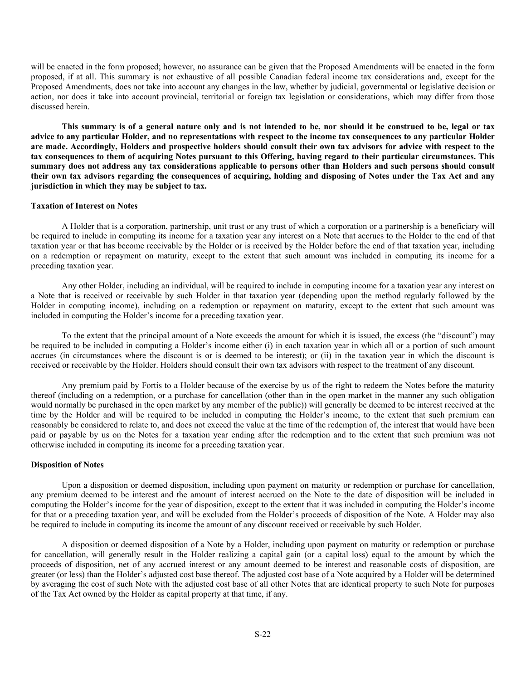will be enacted in the form proposed; however, no assurance can be given that the Proposed Amendments will be enacted in the form proposed, if at all. This summary is not exhaustive of all possible Canadian federal income tax considerations and, except for the Proposed Amendments, does not take into account any changes in the law, whether by judicial, governmental or legislative decision or action, nor does it take into account provincial, territorial or foreign tax legislation or considerations, which may differ from those discussed herein.

**This summary is of a general nature only and is not intended to be, nor should it be construed to be, legal or tax advice to any particular Holder, and no representations with respect to the income tax consequences to any particular Holder are made. Accordingly, Holders and prospective holders should consult their own tax advisors for advice with respect to the tax consequences to them of acquiring Notes pursuant to this Offering, having regard to their particular circumstances. This summary does not address any tax considerations applicable to persons other than Holders and such persons should consult their own tax advisors regarding the consequences of acquiring, holding and disposing of Notes under the Tax Act and any jurisdiction in which they may be subject to tax.** 

#### **Taxation of Interest on Notes**

A Holder that is a corporation, partnership, unit trust or any trust of which a corporation or a partnership is a beneficiary will be required to include in computing its income for a taxation year any interest on a Note that accrues to the Holder to the end of that taxation year or that has become receivable by the Holder or is received by the Holder before the end of that taxation year, including on a redemption or repayment on maturity, except to the extent that such amount was included in computing its income for a preceding taxation year.

Any other Holder, including an individual, will be required to include in computing income for a taxation year any interest on a Note that is received or receivable by such Holder in that taxation year (depending upon the method regularly followed by the Holder in computing income), including on a redemption or repayment on maturity, except to the extent that such amount was included in computing the Holder's income for a preceding taxation year.

To the extent that the principal amount of a Note exceeds the amount for which it is issued, the excess (the "discount") may be required to be included in computing a Holder's income either (i) in each taxation year in which all or a portion of such amount accrues (in circumstances where the discount is or is deemed to be interest); or (ii) in the taxation year in which the discount is received or receivable by the Holder. Holders should consult their own tax advisors with respect to the treatment of any discount.

Any premium paid by Fortis to a Holder because of the exercise by us of the right to redeem the Notes before the maturity thereof (including on a redemption, or a purchase for cancellation (other than in the open market in the manner any such obligation would normally be purchased in the open market by any member of the public)) will generally be deemed to be interest received at the time by the Holder and will be required to be included in computing the Holder's income, to the extent that such premium can reasonably be considered to relate to, and does not exceed the value at the time of the redemption of, the interest that would have been paid or payable by us on the Notes for a taxation year ending after the redemption and to the extent that such premium was not otherwise included in computing its income for a preceding taxation year.

#### **Disposition of Notes**

Upon a disposition or deemed disposition, including upon payment on maturity or redemption or purchase for cancellation, any premium deemed to be interest and the amount of interest accrued on the Note to the date of disposition will be included in computing the Holder's income for the year of disposition, except to the extent that it was included in computing the Holder's income for that or a preceding taxation year, and will be excluded from the Holder's proceeds of disposition of the Note. A Holder may also be required to include in computing its income the amount of any discount received or receivable by such Holder.

A disposition or deemed disposition of a Note by a Holder, including upon payment on maturity or redemption or purchase for cancellation, will generally result in the Holder realizing a capital gain (or a capital loss) equal to the amount by which the proceeds of disposition, net of any accrued interest or any amount deemed to be interest and reasonable costs of disposition, are greater (or less) than the Holder's adjusted cost base thereof. The adjusted cost base of a Note acquired by a Holder will be determined by averaging the cost of such Note with the adjusted cost base of all other Notes that are identical property to such Note for purposes of the Tax Act owned by the Holder as capital property at that time, if any.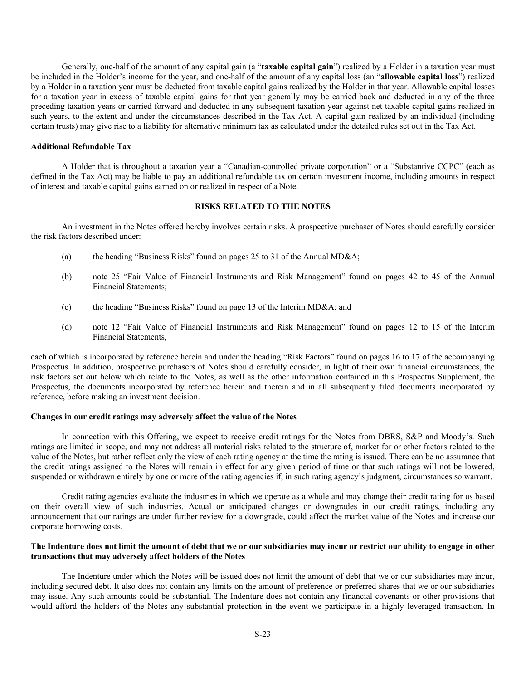Generally, one-half of the amount of any capital gain (a "**taxable capital gain**") realized by a Holder in a taxation year must be included in the Holder's income for the year, and one-half of the amount of any capital loss (an "**allowable capital loss**") realized by a Holder in a taxation year must be deducted from taxable capital gains realized by the Holder in that year. Allowable capital losses for a taxation year in excess of taxable capital gains for that year generally may be carried back and deducted in any of the three preceding taxation years or carried forward and deducted in any subsequent taxation year against net taxable capital gains realized in such years, to the extent and under the circumstances described in the Tax Act. A capital gain realized by an individual (including certain trusts) may give rise to a liability for alternative minimum tax as calculated under the detailed rules set out in the Tax Act.

## **Additional Refundable Tax**

A Holder that is throughout a taxation year a "Canadian-controlled private corporation" or a "Substantive CCPC" (each as defined in the Tax Act) may be liable to pay an additional refundable tax on certain investment income, including amounts in respect of interest and taxable capital gains earned on or realized in respect of a Note.

#### **RISKS RELATED TO THE NOTES**

An investment in the Notes offered hereby involves certain risks. A prospective purchaser of Notes should carefully consider the risk factors described under:

- (a) the heading "Business Risks" found on pages 25 to 31 of the Annual MD&A;
- (b) note 25 "Fair Value of Financial Instruments and Risk Management" found on pages 42 to 45 of the Annual Financial Statements;
- (c) the heading "Business Risks" found on page 13 of the Interim MD&A; and
- (d) note 12 "Fair Value of Financial Instruments and Risk Management" found on pages 12 to 15 of the Interim Financial Statements,

each of which is incorporated by reference herein and under the heading "Risk Factors" found on pages 16 to 17 of the accompanying Prospectus. In addition, prospective purchasers of Notes should carefully consider, in light of their own financial circumstances, the risk factors set out below which relate to the Notes, as well as the other information contained in this Prospectus Supplement, the Prospectus, the documents incorporated by reference herein and therein and in all subsequently filed documents incorporated by reference, before making an investment decision.

#### **Changes in our credit ratings may adversely affect the value of the Notes**

In connection with this Offering, we expect to receive credit ratings for the Notes from DBRS, S&P and Moody's. Such ratings are limited in scope, and may not address all material risks related to the structure of, market for or other factors related to the value of the Notes, but rather reflect only the view of each rating agency at the time the rating is issued. There can be no assurance that the credit ratings assigned to the Notes will remain in effect for any given period of time or that such ratings will not be lowered, suspended or withdrawn entirely by one or more of the rating agencies if, in such rating agency's judgment, circumstances so warrant.

Credit rating agencies evaluate the industries in which we operate as a whole and may change their credit rating for us based on their overall view of such industries. Actual or anticipated changes or downgrades in our credit ratings, including any announcement that our ratings are under further review for a downgrade, could affect the market value of the Notes and increase our corporate borrowing costs.

### **The Indenture does not limit the amount of debt that we or our subsidiaries may incur or restrict our ability to engage in other transactions that may adversely affect holders of the Notes**

The Indenture under which the Notes will be issued does not limit the amount of debt that we or our subsidiaries may incur, including secured debt. It also does not contain any limits on the amount of preference or preferred shares that we or our subsidiaries may issue. Any such amounts could be substantial. The Indenture does not contain any financial covenants or other provisions that would afford the holders of the Notes any substantial protection in the event we participate in a highly leveraged transaction. In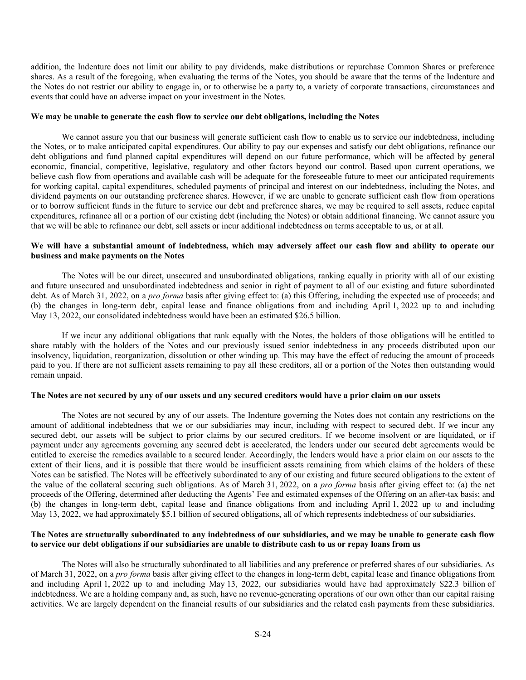addition, the Indenture does not limit our ability to pay dividends, make distributions or repurchase Common Shares or preference shares. As a result of the foregoing, when evaluating the terms of the Notes, you should be aware that the terms of the Indenture and the Notes do not restrict our ability to engage in, or to otherwise be a party to, a variety of corporate transactions, circumstances and events that could have an adverse impact on your investment in the Notes.

#### **We may be unable to generate the cash flow to service our debt obligations, including the Notes**

We cannot assure you that our business will generate sufficient cash flow to enable us to service our indebtedness, including the Notes, or to make anticipated capital expenditures. Our ability to pay our expenses and satisfy our debt obligations, refinance our debt obligations and fund planned capital expenditures will depend on our future performance, which will be affected by general economic, financial, competitive, legislative, regulatory and other factors beyond our control. Based upon current operations, we believe cash flow from operations and available cash will be adequate for the foreseeable future to meet our anticipated requirements for working capital, capital expenditures, scheduled payments of principal and interest on our indebtedness, including the Notes, and dividend payments on our outstanding preference shares. However, if we are unable to generate sufficient cash flow from operations or to borrow sufficient funds in the future to service our debt and preference shares, we may be required to sell assets, reduce capital expenditures, refinance all or a portion of our existing debt (including the Notes) or obtain additional financing. We cannot assure you that we will be able to refinance our debt, sell assets or incur additional indebtedness on terms acceptable to us, or at all.

# **We will have a substantial amount of indebtedness, which may adversely affect our cash flow and ability to operate our business and make payments on the Notes**

The Notes will be our direct, unsecured and unsubordinated obligations, ranking equally in priority with all of our existing and future unsecured and unsubordinated indebtedness and senior in right of payment to all of our existing and future subordinated debt. As of March 31, 2022, on a *pro forma* basis after giving effect to: (a) this Offering, including the expected use of proceeds; and (b) the changes in long-term debt, capital lease and finance obligations from and including April 1, 2022 up to and including May 13, 2022, our consolidated indebtedness would have been an estimated \$26.5 billion.

If we incur any additional obligations that rank equally with the Notes, the holders of those obligations will be entitled to share ratably with the holders of the Notes and our previously issued senior indebtedness in any proceeds distributed upon our insolvency, liquidation, reorganization, dissolution or other winding up. This may have the effect of reducing the amount of proceeds paid to you. If there are not sufficient assets remaining to pay all these creditors, all or a portion of the Notes then outstanding would remain unpaid.

#### **The Notes are not secured by any of our assets and any secured creditors would have a prior claim on our assets**

The Notes are not secured by any of our assets. The Indenture governing the Notes does not contain any restrictions on the amount of additional indebtedness that we or our subsidiaries may incur, including with respect to secured debt. If we incur any secured debt, our assets will be subject to prior claims by our secured creditors. If we become insolvent or are liquidated, or if payment under any agreements governing any secured debt is accelerated, the lenders under our secured debt agreements would be entitled to exercise the remedies available to a secured lender. Accordingly, the lenders would have a prior claim on our assets to the extent of their liens, and it is possible that there would be insufficient assets remaining from which claims of the holders of these Notes can be satisfied. The Notes will be effectively subordinated to any of our existing and future secured obligations to the extent of the value of the collateral securing such obligations. As of March 31, 2022, on a *pro forma* basis after giving effect to: (a) the net proceeds of the Offering, determined after deducting the Agents' Fee and estimated expenses of the Offering on an after-tax basis; and (b) the changes in long-term debt, capital lease and finance obligations from and including April 1, 2022 up to and including May 13, 2022, we had approximately \$5.1 billion of secured obligations, all of which represents indebtedness of our subsidiaries.

## **The Notes are structurally subordinated to any indebtedness of our subsidiaries, and we may be unable to generate cash flow to service our debt obligations if our subsidiaries are unable to distribute cash to us or repay loans from us**

The Notes will also be structurally subordinated to all liabilities and any preference or preferred shares of our subsidiaries. As of March 31, 2022, on a *pro forma* basis after giving effect to the changes in long-term debt, capital lease and finance obligations from and including April 1, 2022 up to and including May 13, 2022, our subsidiaries would have had approximately \$22.3 billion of indebtedness. We are a holding company and, as such, have no revenue-generating operations of our own other than our capital raising activities. We are largely dependent on the financial results of our subsidiaries and the related cash payments from these subsidiaries.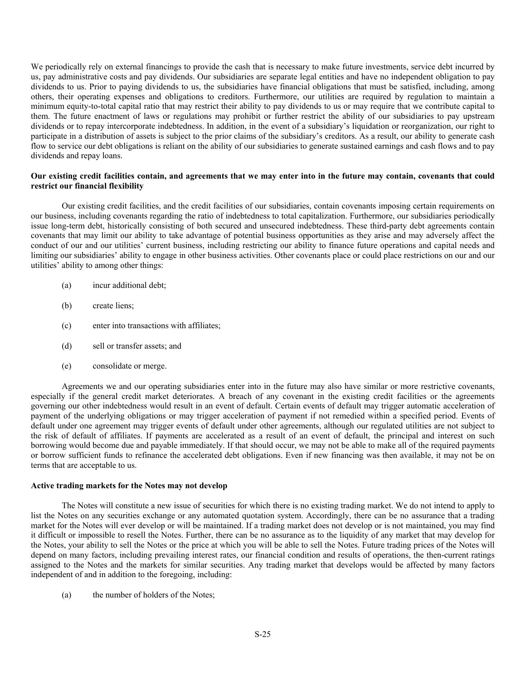We periodically rely on external financings to provide the cash that is necessary to make future investments, service debt incurred by us, pay administrative costs and pay dividends. Our subsidiaries are separate legal entities and have no independent obligation to pay dividends to us. Prior to paying dividends to us, the subsidiaries have financial obligations that must be satisfied, including, among others, their operating expenses and obligations to creditors. Furthermore, our utilities are required by regulation to maintain a minimum equity-to-total capital ratio that may restrict their ability to pay dividends to us or may require that we contribute capital to them. The future enactment of laws or regulations may prohibit or further restrict the ability of our subsidiaries to pay upstream dividends or to repay intercorporate indebtedness. In addition, in the event of a subsidiary's liquidation or reorganization, our right to participate in a distribution of assets is subject to the prior claims of the subsidiary's creditors. As a result, our ability to generate cash flow to service our debt obligations is reliant on the ability of our subsidiaries to generate sustained earnings and cash flows and to pay dividends and repay loans.

## **Our existing credit facilities contain, and agreements that we may enter into in the future may contain, covenants that could restrict our financial flexibility**

Our existing credit facilities, and the credit facilities of our subsidiaries, contain covenants imposing certain requirements on our business, including covenants regarding the ratio of indebtedness to total capitalization. Furthermore, our subsidiaries periodically issue long-term debt, historically consisting of both secured and unsecured indebtedness. These third-party debt agreements contain covenants that may limit our ability to take advantage of potential business opportunities as they arise and may adversely affect the conduct of our and our utilities' current business, including restricting our ability to finance future operations and capital needs and limiting our subsidiaries' ability to engage in other business activities. Other covenants place or could place restrictions on our and our utilities' ability to among other things:

- (a) incur additional debt;
- (b) create liens;
- (c) enter into transactions with affiliates;
- (d) sell or transfer assets; and
- (e) consolidate or merge.

Agreements we and our operating subsidiaries enter into in the future may also have similar or more restrictive covenants, especially if the general credit market deteriorates. A breach of any covenant in the existing credit facilities or the agreements governing our other indebtedness would result in an event of default. Certain events of default may trigger automatic acceleration of payment of the underlying obligations or may trigger acceleration of payment if not remedied within a specified period. Events of default under one agreement may trigger events of default under other agreements, although our regulated utilities are not subject to the risk of default of affiliates. If payments are accelerated as a result of an event of default, the principal and interest on such borrowing would become due and payable immediately. If that should occur, we may not be able to make all of the required payments or borrow sufficient funds to refinance the accelerated debt obligations. Even if new financing was then available, it may not be on terms that are acceptable to us.

## **Active trading markets for the Notes may not develop**

The Notes will constitute a new issue of securities for which there is no existing trading market. We do not intend to apply to list the Notes on any securities exchange or any automated quotation system. Accordingly, there can be no assurance that a trading market for the Notes will ever develop or will be maintained. If a trading market does not develop or is not maintained, you may find it difficult or impossible to resell the Notes. Further, there can be no assurance as to the liquidity of any market that may develop for the Notes, your ability to sell the Notes or the price at which you will be able to sell the Notes. Future trading prices of the Notes will depend on many factors, including prevailing interest rates, our financial condition and results of operations, the then-current ratings assigned to the Notes and the markets for similar securities. Any trading market that develops would be affected by many factors independent of and in addition to the foregoing, including:

(a) the number of holders of the Notes;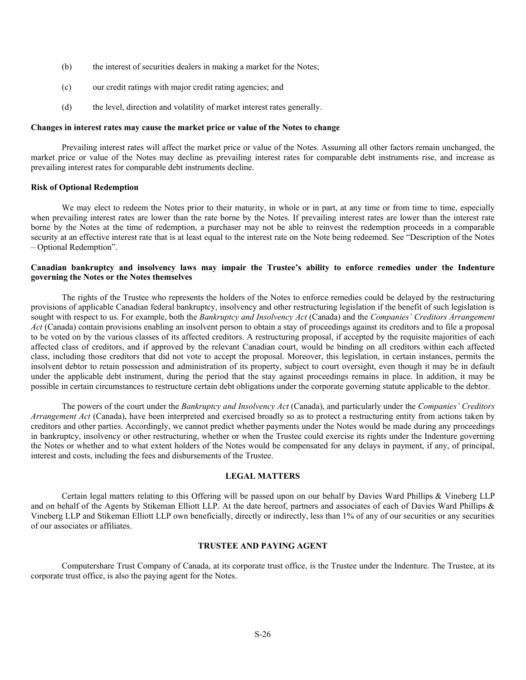- (b) the interest of securities dealers in making a market for the Notes;
- (c) our credit ratings with major credit rating agencies; and
- (d) the level, direction and volatility of market interest rates generally.

## **Changes in interest rates may cause the market price or value of the Notes to change**

Prevailing interest rates will affect the market price or value of the Notes. Assuming all other factors remain unchanged, the market price or value of the Notes may decline as prevailing interest rates for comparable debt instruments rise, and increase as prevailing interest rates for comparable debt instruments decline.

#### **Risk of Optional Redemption**

We may elect to redeem the Notes prior to their maturity, in whole or in part, at any time or from time to time, especially when prevailing interest rates are lower than the rate borne by the Notes. If prevailing interest rates are lower than the interest rate borne by the Notes at the time of redemption, a purchaser may not be able to reinvest the redemption proceeds in a comparable security at an effective interest rate that is at least equal to the interest rate on the Note being redeemed. See "Description of the Notes – Optional Redemption".

## **Canadian bankruptcy and insolvency laws may impair the Trustee's ability to enforce remedies under the Indenture governing the Notes or the Notes themselves**

The rights of the Trustee who represents the holders of the Notes to enforce remedies could be delayed by the restructuring provisions of applicable Canadian federal bankruptcy, insolvency and other restructuring legislation if the benefit of such legislation is sought with respect to us. For example, both the *Bankruptcy and Insolvency Act* (Canada) and the *Companies' Creditors Arrangement Act* (Canada) contain provisions enabling an insolvent person to obtain a stay of proceedings against its creditors and to file a proposal to be voted on by the various classes of its affected creditors. A restructuring proposal, if accepted by the requisite majorities of each affected class of creditors, and if approved by the relevant Canadian court, would be binding on all creditors within each affected class, including those creditors that did not vote to accept the proposal. Moreover, this legislation, in certain instances, permits the insolvent debtor to retain possession and administration of its property, subject to court oversight, even though it may be in default under the applicable debt instrument, during the period that the stay against proceedings remains in place. In addition, it may be possible in certain circumstances to restructure certain debt obligations under the corporate governing statute applicable to the debtor.

The powers of the court under the *Bankruptcy and Insolvency Act* (Canada), and particularly under the *Companies' Creditors Arrangement Act* (Canada), have been interpreted and exercised broadly so as to protect a restructuring entity from actions taken by creditors and other parties. Accordingly, we cannot predict whether payments under the Notes would be made during any proceedings in bankruptcy, insolvency or other restructuring, whether or when the Trustee could exercise its rights under the Indenture governing the Notes or whether and to what extent holders of the Notes would be compensated for any delays in payment, if any, of principal, interest and costs, including the fees and disbursements of the Trustee.

# **LEGAL MATTERS**

Certain legal matters relating to this Offering will be passed upon on our behalf by Davies Ward Phillips & Vineberg LLP and on behalf of the Agents by Stikeman Elliott LLP. At the date hereof, partners and associates of each of Davies Ward Phillips & Vineberg LLP and Stikeman Elliott LLP own beneficially, directly or indirectly, less than 1% of any of our securities or any securities of our associates or affiliates.

## **TRUSTEE AND PAYING AGENT**

Computershare Trust Company of Canada, at its corporate trust office, is the Trustee under the Indenture. The Trustee, at its corporate trust office, is also the paying agent for the Notes.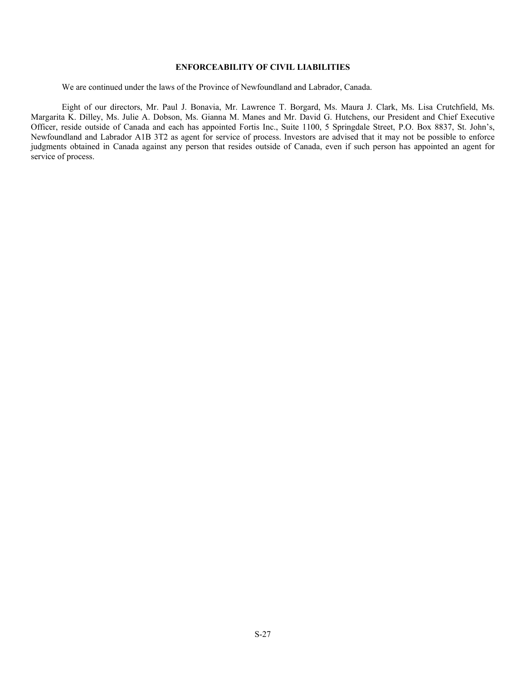# **ENFORCEABILITY OF CIVIL LIABILITIES**

We are continued under the laws of the Province of Newfoundland and Labrador, Canada.

Eight of our directors, Mr. Paul J. Bonavia, Mr. Lawrence T. Borgard, Ms. Maura J. Clark, Ms. Lisa Crutchfield, Ms. Margarita K. Dilley, Ms. Julie A. Dobson, Ms. Gianna M. Manes and Mr. David G. Hutchens, our President and Chief Executive Officer, reside outside of Canada and each has appointed Fortis Inc., Suite 1100, 5 Springdale Street, P.O. Box 8837, St. John's, Newfoundland and Labrador A1B 3T2 as agent for service of process. Investors are advised that it may not be possible to enforce judgments obtained in Canada against any person that resides outside of Canada, even if such person has appointed an agent for service of process.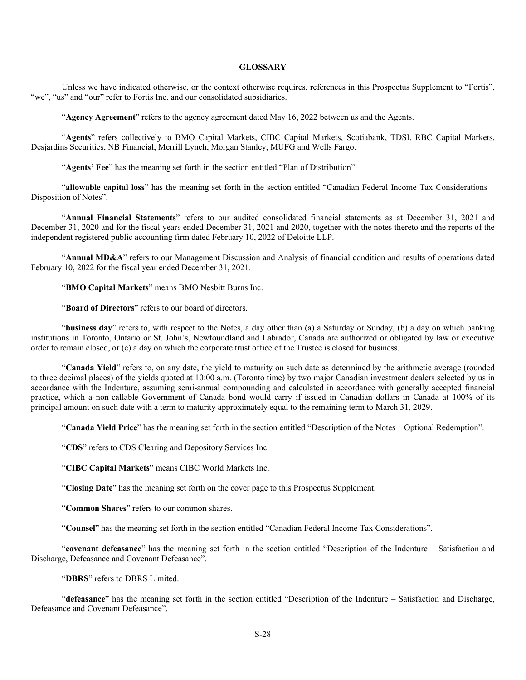## **GLOSSARY**

Unless we have indicated otherwise, or the context otherwise requires, references in this Prospectus Supplement to "Fortis", "we", "us" and "our" refer to Fortis Inc. and our consolidated subsidiaries.

"**Agency Agreement**" refers to the agency agreement dated May 16, 2022 between us and the Agents.

"**Agents**" refers collectively to BMO Capital Markets, CIBC Capital Markets, Scotiabank, TDSI, RBC Capital Markets, Desjardins Securities, NB Financial, Merrill Lynch, Morgan Stanley, MUFG and Wells Fargo.

"**Agents' Fee**" has the meaning set forth in the section entitled "Plan of Distribution".

"**allowable capital loss**" has the meaning set forth in the section entitled "Canadian Federal Income Tax Considerations – Disposition of Notes".

"**Annual Financial Statements**" refers to our audited consolidated financial statements as at December 31, 2021 and December 31, 2020 and for the fiscal years ended December 31, 2021 and 2020, together with the notes thereto and the reports of the independent registered public accounting firm dated February 10, 2022 of Deloitte LLP.

"**Annual MD&A**" refers to our Management Discussion and Analysis of financial condition and results of operations dated February 10, 2022 for the fiscal year ended December 31, 2021.

"**BMO Capital Markets**" means BMO Nesbitt Burns Inc.

"**Board of Directors**" refers to our board of directors.

"**business day**" refers to, with respect to the Notes, a day other than (a) a Saturday or Sunday, (b) a day on which banking institutions in Toronto, Ontario or St. John's, Newfoundland and Labrador, Canada are authorized or obligated by law or executive order to remain closed, or (c) a day on which the corporate trust office of the Trustee is closed for business.

"**Canada Yield**" refers to, on any date, the yield to maturity on such date as determined by the arithmetic average (rounded to three decimal places) of the yields quoted at 10:00 a.m. (Toronto time) by two major Canadian investment dealers selected by us in accordance with the Indenture, assuming semi-annual compounding and calculated in accordance with generally accepted financial practice, which a non-callable Government of Canada bond would carry if issued in Canadian dollars in Canada at 100% of its principal amount on such date with a term to maturity approximately equal to the remaining term to March 31, 2029.

"**Canada Yield Price**" has the meaning set forth in the section entitled "Description of the Notes – Optional Redemption".

"**CDS**" refers to CDS Clearing and Depository Services Inc.

"**CIBC Capital Markets**" means CIBC World Markets Inc.

"**Closing Date**" has the meaning set forth on the cover page to this Prospectus Supplement.

"**Common Shares**" refers to our common shares.

"**Counsel**" has the meaning set forth in the section entitled "Canadian Federal Income Tax Considerations".

"**covenant defeasance**" has the meaning set forth in the section entitled "Description of the Indenture – Satisfaction and Discharge, Defeasance and Covenant Defeasance".

"**DBRS**" refers to DBRS Limited.

"**defeasance**" has the meaning set forth in the section entitled "Description of the Indenture – Satisfaction and Discharge, Defeasance and Covenant Defeasance".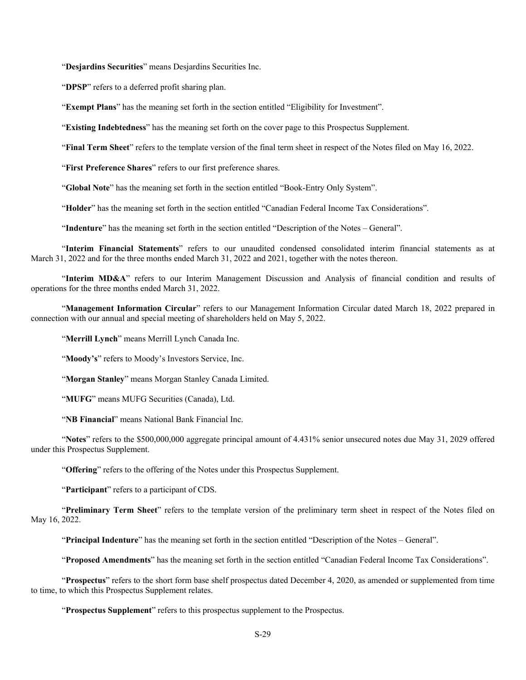"**Desjardins Securities**" means Desjardins Securities Inc.

"**DPSP**" refers to a deferred profit sharing plan.

"**Exempt Plans**" has the meaning set forth in the section entitled "Eligibility for Investment".

"**Existing Indebtedness**" has the meaning set forth on the cover page to this Prospectus Supplement.

"**Final Term Sheet**" refers to the template version of the final term sheet in respect of the Notes filed on May 16, 2022.

"**First Preference Shares**" refers to our first preference shares.

"**Global Note**" has the meaning set forth in the section entitled "Book-Entry Only System".

"**Holder**" has the meaning set forth in the section entitled "Canadian Federal Income Tax Considerations".

"**Indenture**" has the meaning set forth in the section entitled "Description of the Notes – General".

"**Interim Financial Statements**" refers to our unaudited condensed consolidated interim financial statements as at March 31, 2022 and for the three months ended March 31, 2022 and 2021, together with the notes thereon.

"**Interim MD&A**" refers to our Interim Management Discussion and Analysis of financial condition and results of operations for the three months ended March 31, 2022.

"**Management Information Circular**" refers to our Management Information Circular dated March 18, 2022 prepared in connection with our annual and special meeting of shareholders held on May 5, 2022.

"**Merrill Lynch**" means Merrill Lynch Canada Inc.

"Moody's" refers to Moody's Investors Service, Inc.

"**Morgan Stanley**" means Morgan Stanley Canada Limited.

"**MUFG**" means MUFG Securities (Canada), Ltd.

"**NB Financial**" means National Bank Financial Inc.

"**Notes**" refers to the \$500,000,000 aggregate principal amount of 4.431% senior unsecured notes due May 31, 2029 offered under this Prospectus Supplement.

"**Offering**" refers to the offering of the Notes under this Prospectus Supplement.

"**Participant**" refers to a participant of CDS.

"**Preliminary Term Sheet**" refers to the template version of the preliminary term sheet in respect of the Notes filed on May 16, 2022.

"**Principal Indenture**" has the meaning set forth in the section entitled "Description of the Notes – General".

"**Proposed Amendments**" has the meaning set forth in the section entitled "Canadian Federal Income Tax Considerations".

"**Prospectus**" refers to the short form base shelf prospectus dated December 4, 2020, as amended or supplemented from time to time, to which this Prospectus Supplement relates.

"**Prospectus Supplement**" refers to this prospectus supplement to the Prospectus.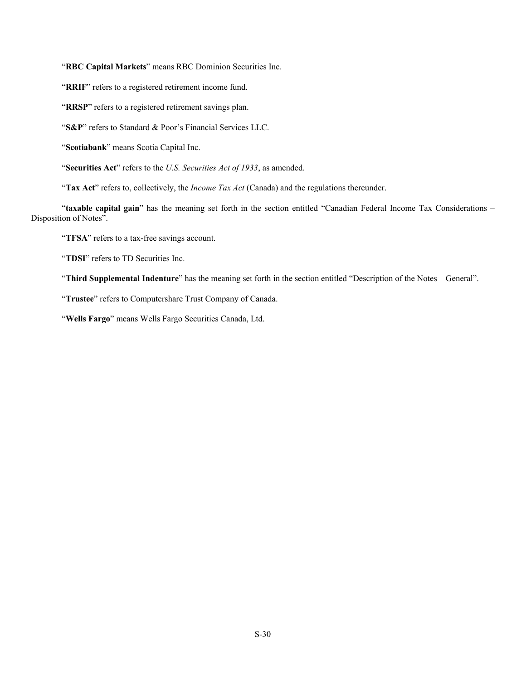"**RBC Capital Markets**" means RBC Dominion Securities Inc.

"RRIF" refers to a registered retirement income fund.

"RRSP" refers to a registered retirement savings plan.

"**S&P**" refers to Standard & Poor's Financial Services LLC.

"**Scotiabank**" means Scotia Capital Inc.

"**Securities Act**" refers to the *U.S. Securities Act of 1933*, as amended.

"**Tax Act**" refers to, collectively, the *Income Tax Act* (Canada) and the regulations thereunder.

"**taxable capital gain**" has the meaning set forth in the section entitled "Canadian Federal Income Tax Considerations – Disposition of Notes".

"**TFSA**" refers to a tax-free savings account.

"**TDSI**" refers to TD Securities Inc.

"**Third Supplemental Indenture**" has the meaning set forth in the section entitled "Description of the Notes – General".

"**Trustee**" refers to Computershare Trust Company of Canada.

"**Wells Fargo**" means Wells Fargo Securities Canada, Ltd.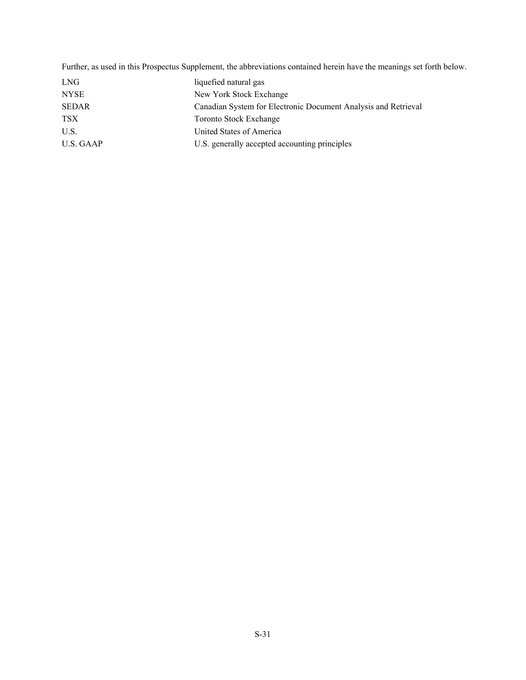Further, as used in this Prospectus Supplement, the abbreviations contained herein have the meanings set forth below.

| LNG          | liquefied natural gas                                          |
|--------------|----------------------------------------------------------------|
| <b>NYSE</b>  | New York Stock Exchange                                        |
| <b>SEDAR</b> | Canadian System for Electronic Document Analysis and Retrieval |
| TSX          | Toronto Stock Exchange                                         |
| U.S.         | United States of America                                       |
| U.S. GAAP    | U.S. generally accepted accounting principles                  |